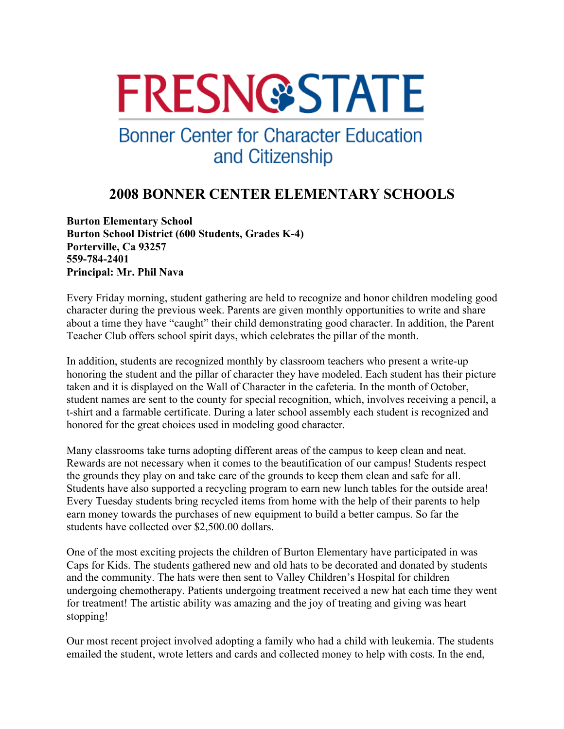# **FRESN@STATE**

## **Bonner Center for Character Education** and Citizenship

### **2008 BONNER CENTER ELEMENTARY SCHOOLS**

**Burton Elementary School Burton School District (600 Students, Grades K-4) Porterville, Ca 93257 559-784-2401 Principal: Mr. Phil Nava** 

Every Friday morning, student gathering are held to recognize and honor children modeling good character during the previous week. Parents are given monthly opportunities to write and share about a time they have "caught" their child demonstrating good character. In addition, the Parent Teacher Club offers school spirit days, which celebrates the pillar of the month.

In addition, students are recognized monthly by classroom teachers who present a write-up honoring the student and the pillar of character they have modeled. Each student has their picture taken and it is displayed on the Wall of Character in the cafeteria. In the month of October, student names are sent to the county for special recognition, which, involves receiving a pencil, a t-shirt and a farmable certificate. During a later school assembly each student is recognized and honored for the great choices used in modeling good character.

Many classrooms take turns adopting different areas of the campus to keep clean and neat. Rewards are not necessary when it comes to the beautification of our campus! Students respect the grounds they play on and take care of the grounds to keep them clean and safe for all. Students have also supported a recycling program to earn new lunch tables for the outside area! Every Tuesday students bring recycled items from home with the help of their parents to help earn money towards the purchases of new equipment to build a better campus. So far the students have collected over \$2,500.00 dollars.

One of the most exciting projects the children of Burton Elementary have participated in was Caps for Kids. The students gathered new and old hats to be decorated and donated by students and the community. The hats were then sent to Valley Children's Hospital for children undergoing chemotherapy. Patients undergoing treatment received a new hat each time they went for treatment! The artistic ability was amazing and the joy of treating and giving was heart stopping!

Our most recent project involved adopting a family who had a child with leukemia. The students emailed the student, wrote letters and cards and collected money to help with costs. In the end,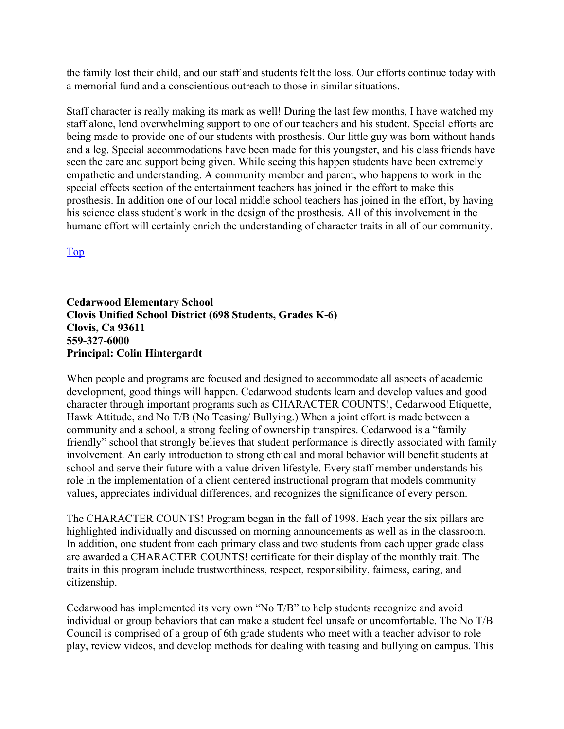the family lost their child, and our staff and students felt the loss. Our efforts continue today with a memorial fund and a conscientious outreach to those in similar situations.

Staff character is really making its mark as well! During the last few months, I have watched my staff alone, lend overwhelming support to one of our teachers and his student. Special efforts are being made to provide one of our students with prosthesis. Our little guy was born without hands and a leg. Special accommodations have been made for this youngster, and his class friends have seen the care and support being given. While seeing this happen students have been extremely empathetic and understanding. A community member and parent, who happens to work in the special effects section of the entertainment teachers has joined in the effort to make this prosthesis. In addition one of our local middle school teachers has joined in the effort, by having his science class student's work in the design of the prosthesis. All of this involvement in the humane effort will certainly enrich the understanding of character traits in all of our community.

Top

#### **Cedarwood Elementary School Clovis Unified School District (698 Students, Grades K-6) Clovis, Ca 93611 559-327-6000 Principal: Colin Hintergardt**

When people and programs are focused and designed to accommodate all aspects of academic development, good things will happen. Cedarwood students learn and develop values and good character through important programs such as CHARACTER COUNTS!, Cedarwood Etiquette, Hawk Attitude, and No T/B (No Teasing/ Bullying.) When a joint effort is made between a community and a school, a strong feeling of ownership transpires. Cedarwood is a "family friendly" school that strongly believes that student performance is directly associated with family involvement. An early introduction to strong ethical and moral behavior will benefit students at school and serve their future with a value driven lifestyle. Every staff member understands his role in the implementation of a client centered instructional program that models community values, appreciates individual differences, and recognizes the significance of every person.

The CHARACTER COUNTS! Program began in the fall of 1998. Each year the six pillars are highlighted individually and discussed on morning announcements as well as in the classroom. In addition, one student from each primary class and two students from each upper grade class are awarded a CHARACTER COUNTS! certificate for their display of the monthly trait. The traits in this program include trustworthiness, respect, responsibility, fairness, caring, and citizenship.

Cedarwood has implemented its very own "No T/B" to help students recognize and avoid individual or group behaviors that can make a student feel unsafe or uncomfortable. The No T/B Council is comprised of a group of 6th grade students who meet with a teacher advisor to role play, review videos, and develop methods for dealing with teasing and bullying on campus. This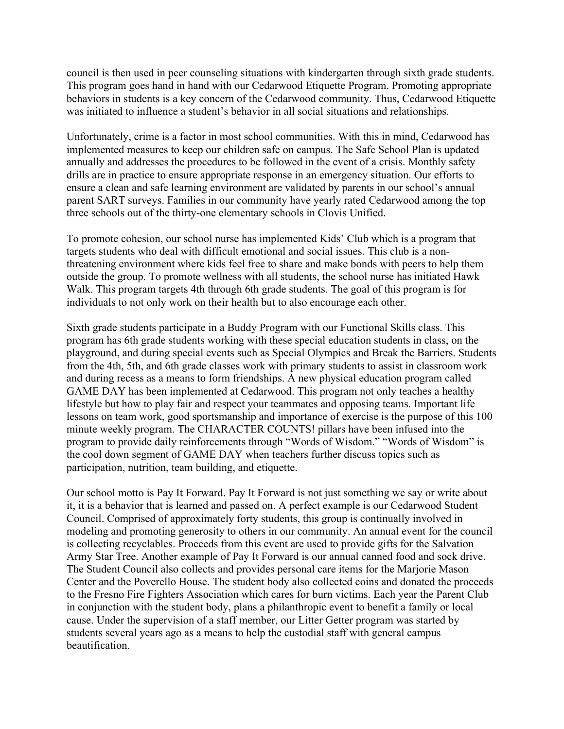council is then used in peer counseling situations with kindergarten through sixth grade students. This program goes hand in hand with our Cedarwood Etiquette Program. Promoting appropriate behaviors in students is a key concern of the Cedarwood community. Thus, Cedarwood Etiquette was initiated to influence a student's behavior in all social situations and relationships.

Unfortunately, crime is a factor in most school communities. With this in mind, Cedarwood has implemented measures to keep our children safe on campus. The Safe School Plan is updated annually and addresses the procedures to be followed in the event of a crisis. Monthly safety drills are in practice to ensure appropriate response in an emergency situation. Our efforts to ensure a clean and safe learning environment are validated by parents in our school's annual parent SART surveys. Families in our community have yearly rated Cedarwood among the top three schools out of the thirty-one elementary schools in Clovis Unified.

To promote cohesion, our school nurse has implemented Kids' Club which is a program that targets students who deal with difficult emotional and social issues. This club is a nonthreatening environment where kids feel free to share and make bonds with peers to help them outside the group. To promote wellness with all students, the school nurse has initiated Hawk Walk. This program targets 4th through 6th grade students. The goal of this program is for individuals to not only work on their health but to also encourage each other.

Sixth grade students participate in a Buddy Program with our Functional Skills class. This program has 6th grade students working with these special education students in class, on the playground, and during special events such as Special Olympics and Break the Barriers. Students from the 4th, 5th, and 6th grade classes work with primary students to assist in classroom work and during recess as a means to form friendships. A new physical education program called GAME DAY has been implemented at Cedarwood. This program not only teaches a healthy lifestyle but how to play fair and respect your teammates and opposing teams. Important life lessons on team work, good sportsmanship and importance of exercise is the purpose of this 100 minute weekly program. The CHARACTER COUNTS! pillars have been infused into the program to provide daily reinforcements through "Words of Wisdom." "Words of Wisdom" is the cool down segment of GAME DAY when teachers further discuss topics such as participation, nutrition, team building, and etiquette.

Our school motto is Pay It Forward. Pay It Forward is not just something we say or write about it, it is a behavior that is learned and passed on. A perfect example is our Cedarwood Student Council. Comprised of approximately forty students, this group is continually involved in modeling and promoting generosity to others in our community. An annual event for the council is collecting recyclables. Proceeds from this event are used to provide gifts for the Salvation Army Star Tree. Another example of Pay It Forward is our annual canned food and sock drive. The Student Council also collects and provides personal care items for the Marjorie Mason Center and the Poverello House. The student body also collected coins and donated the proceeds to the Fresno Fire Fighters Association which cares for burn victims. Each year the Parent Club in conjunction with the student body, plans a philanthropic event to benefit a family or local cause. Under the supervision of a staff member, our Litter Getter program was started by students several years ago as a means to help the custodial staff with general campus beautification.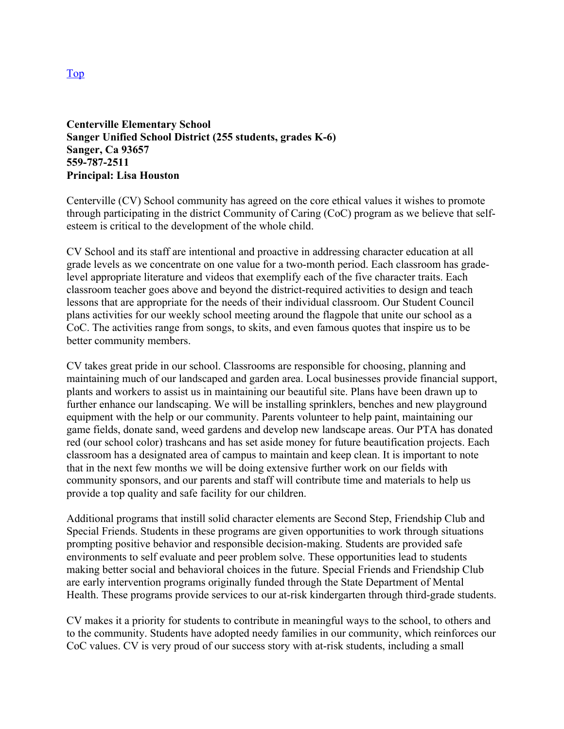#### **Centerville Elementary School Sanger Unified School District (255 students, grades K-6) Sanger, Ca 93657 559-787-2511 Principal: Lisa Houston**

Centerville (CV) School community has agreed on the core ethical values it wishes to promote through participating in the district Community of Caring (CoC) program as we believe that selfesteem is critical to the development of the whole child.

CV School and its staff are intentional and proactive in addressing character education at all grade levels as we concentrate on one value for a two-month period. Each classroom has gradelevel appropriate literature and videos that exemplify each of the five character traits. Each classroom teacher goes above and beyond the district-required activities to design and teach lessons that are appropriate for the needs of their individual classroom. Our Student Council plans activities for our weekly school meeting around the flagpole that unite our school as a CoC. The activities range from songs, to skits, and even famous quotes that inspire us to be better community members.

CV takes great pride in our school. Classrooms are responsible for choosing, planning and maintaining much of our landscaped and garden area. Local businesses provide financial support, plants and workers to assist us in maintaining our beautiful site. Plans have been drawn up to further enhance our landscaping. We will be installing sprinklers, benches and new playground equipment with the help or our community. Parents volunteer to help paint, maintaining our game fields, donate sand, weed gardens and develop new landscape areas. Our PTA has donated red (our school color) trashcans and has set aside money for future beautification projects. Each classroom has a designated area of campus to maintain and keep clean. It is important to note that in the next few months we will be doing extensive further work on our fields with community sponsors, and our parents and staff will contribute time and materials to help us provide a top quality and safe facility for our children.

Additional programs that instill solid character elements are Second Step, Friendship Club and Special Friends. Students in these programs are given opportunities to work through situations prompting positive behavior and responsible decision-making. Students are provided safe environments to self evaluate and peer problem solve. These opportunities lead to students making better social and behavioral choices in the future. Special Friends and Friendship Club are early intervention programs originally funded through the State Department of Mental Health. These programs provide services to our at-risk kindergarten through third-grade students.

CV makes it a priority for students to contribute in meaningful ways to the school, to others and to the community. Students have adopted needy families in our community, which reinforces our CoC values. CV is very proud of our success story with at-risk students, including a small

Top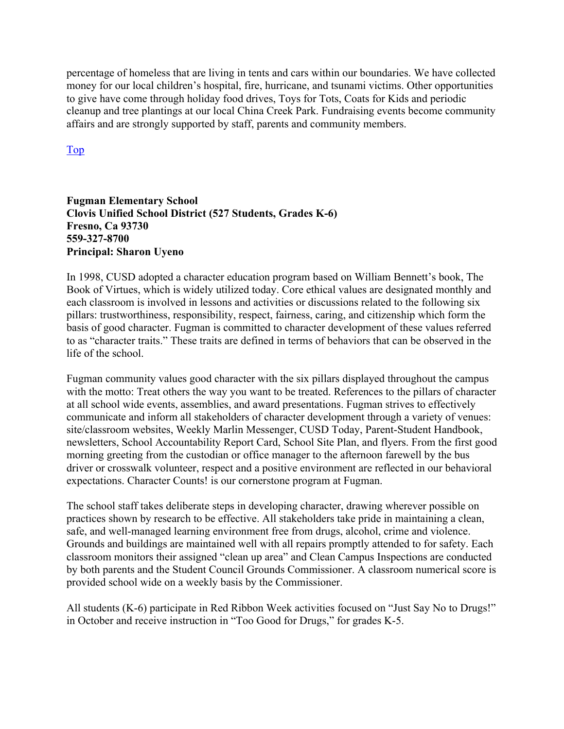percentage of homeless that are living in tents and cars within our boundaries. We have collected money for our local children's hospital, fire, hurricane, and tsunami victims. Other opportunities to give have come through holiday food drives, Toys for Tots, Coats for Kids and periodic cleanup and tree plantings at our local China Creek Park. Fundraising events become community affairs and are strongly supported by staff, parents and community members.

Top

#### **Fugman Elementary School Clovis Unified School District (527 Students, Grades K-6) Fresno, Ca 93730 559-327-8700 Principal: Sharon Uyeno**

In 1998, CUSD adopted a character education program based on William Bennett's book, The Book of Virtues, which is widely utilized today. Core ethical values are designated monthly and each classroom is involved in lessons and activities or discussions related to the following six pillars: trustworthiness, responsibility, respect, fairness, caring, and citizenship which form the basis of good character. Fugman is committed to character development of these values referred to as "character traits." These traits are defined in terms of behaviors that can be observed in the life of the school.

Fugman community values good character with the six pillars displayed throughout the campus with the motto: Treat others the way you want to be treated. References to the pillars of character at all school wide events, assemblies, and award presentations. Fugman strives to effectively communicate and inform all stakeholders of character development through a variety of venues: site/classroom websites, Weekly Marlin Messenger, CUSD Today, Parent-Student Handbook, newsletters, School Accountability Report Card, School Site Plan, and flyers. From the first good morning greeting from the custodian or office manager to the afternoon farewell by the bus driver or crosswalk volunteer, respect and a positive environment are reflected in our behavioral expectations. Character Counts! is our cornerstone program at Fugman.

The school staff takes deliberate steps in developing character, drawing wherever possible on practices shown by research to be effective. All stakeholders take pride in maintaining a clean, safe, and well-managed learning environment free from drugs, alcohol, crime and violence. Grounds and buildings are maintained well with all repairs promptly attended to for safety. Each classroom monitors their assigned "clean up area" and Clean Campus Inspections are conducted by both parents and the Student Council Grounds Commissioner. A classroom numerical score is provided school wide on a weekly basis by the Commissioner.

All students (K-6) participate in Red Ribbon Week activities focused on "Just Say No to Drugs!" in October and receive instruction in "Too Good for Drugs," for grades K-5.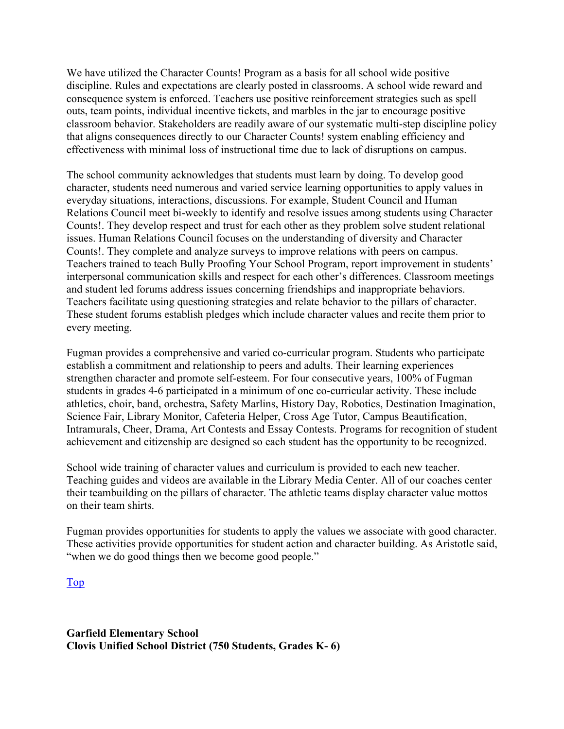We have utilized the Character Counts! Program as a basis for all school wide positive discipline. Rules and expectations are clearly posted in classrooms. A school wide reward and consequence system is enforced. Teachers use positive reinforcement strategies such as spell outs, team points, individual incentive tickets, and marbles in the jar to encourage positive classroom behavior. Stakeholders are readily aware of our systematic multi-step discipline policy that aligns consequences directly to our Character Counts! system enabling efficiency and effectiveness with minimal loss of instructional time due to lack of disruptions on campus.

The school community acknowledges that students must learn by doing. To develop good character, students need numerous and varied service learning opportunities to apply values in everyday situations, interactions, discussions. For example, Student Council and Human Relations Council meet bi-weekly to identify and resolve issues among students using Character Counts!. They develop respect and trust for each other as they problem solve student relational issues. Human Relations Council focuses on the understanding of diversity and Character Counts!. They complete and analyze surveys to improve relations with peers on campus. Teachers trained to teach Bully Proofing Your School Program, report improvement in students' interpersonal communication skills and respect for each other's differences. Classroom meetings and student led forums address issues concerning friendships and inappropriate behaviors. Teachers facilitate using questioning strategies and relate behavior to the pillars of character. These student forums establish pledges which include character values and recite them prior to every meeting.

Fugman provides a comprehensive and varied co-curricular program. Students who participate establish a commitment and relationship to peers and adults. Their learning experiences strengthen character and promote self-esteem. For four consecutive years, 100% of Fugman students in grades 4-6 participated in a minimum of one co-curricular activity. These include athletics, choir, band, orchestra, Safety Marlins, History Day, Robotics, Destination Imagination, Science Fair, Library Monitor, Cafeteria Helper, Cross Age Tutor, Campus Beautification, Intramurals, Cheer, Drama, Art Contests and Essay Contests. Programs for recognition of student achievement and citizenship are designed so each student has the opportunity to be recognized.

School wide training of character values and curriculum is provided to each new teacher. Teaching guides and videos are available in the Library Media Center. All of our coaches center their teambuilding on the pillars of character. The athletic teams display character value mottos on their team shirts.

Fugman provides opportunities for students to apply the values we associate with good character. These activities provide opportunities for student action and character building. As Aristotle said, "when we do good things then we become good people."

Top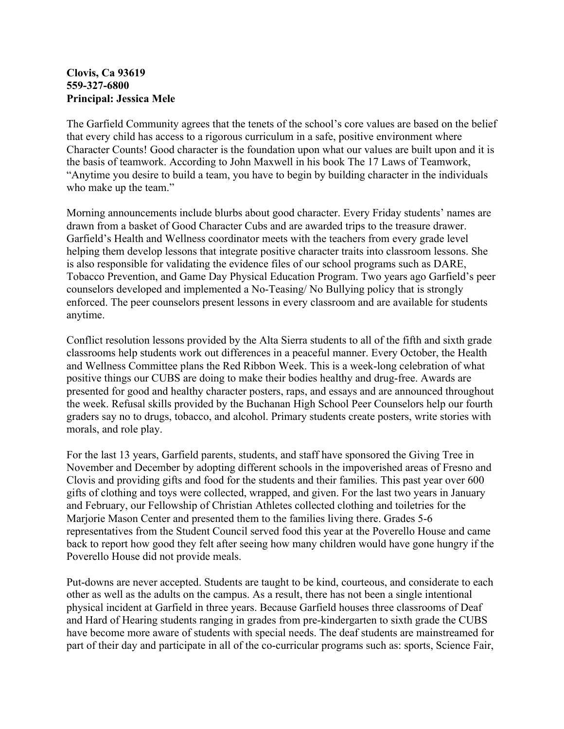#### **Clovis, Ca 93619 559-327-6800 Principal: Jessica Mele**

The Garfield Community agrees that the tenets of the school's core values are based on the belief that every child has access to a rigorous curriculum in a safe, positive environment where Character Counts! Good character is the foundation upon what our values are built upon and it is the basis of teamwork. According to John Maxwell in his book The 17 Laws of Teamwork, "Anytime you desire to build a team, you have to begin by building character in the individuals who make up the team."

Morning announcements include blurbs about good character. Every Friday students' names are drawn from a basket of Good Character Cubs and are awarded trips to the treasure drawer. Garfield's Health and Wellness coordinator meets with the teachers from every grade level helping them develop lessons that integrate positive character traits into classroom lessons. She is also responsible for validating the evidence files of our school programs such as DARE, Tobacco Prevention, and Game Day Physical Education Program. Two years ago Garfield's peer counselors developed and implemented a No-Teasing/ No Bullying policy that is strongly enforced. The peer counselors present lessons in every classroom and are available for students anytime.

Conflict resolution lessons provided by the Alta Sierra students to all of the fifth and sixth grade classrooms help students work out differences in a peaceful manner. Every October, the Health and Wellness Committee plans the Red Ribbon Week. This is a week-long celebration of what positive things our CUBS are doing to make their bodies healthy and drug-free. Awards are presented for good and healthy character posters, raps, and essays and are announced throughout the week. Refusal skills provided by the Buchanan High School Peer Counselors help our fourth graders say no to drugs, tobacco, and alcohol. Primary students create posters, write stories with morals, and role play.

For the last 13 years, Garfield parents, students, and staff have sponsored the Giving Tree in November and December by adopting different schools in the impoverished areas of Fresno and Clovis and providing gifts and food for the students and their families. This past year over 600 gifts of clothing and toys were collected, wrapped, and given. For the last two years in January and February, our Fellowship of Christian Athletes collected clothing and toiletries for the Marjorie Mason Center and presented them to the families living there. Grades 5-6 representatives from the Student Council served food this year at the Poverello House and came back to report how good they felt after seeing how many children would have gone hungry if the Poverello House did not provide meals.

Put-downs are never accepted. Students are taught to be kind, courteous, and considerate to each other as well as the adults on the campus. As a result, there has not been a single intentional physical incident at Garfield in three years. Because Garfield houses three classrooms of Deaf and Hard of Hearing students ranging in grades from pre-kindergarten to sixth grade the CUBS have become more aware of students with special needs. The deaf students are mainstreamed for part of their day and participate in all of the co-curricular programs such as: sports, Science Fair,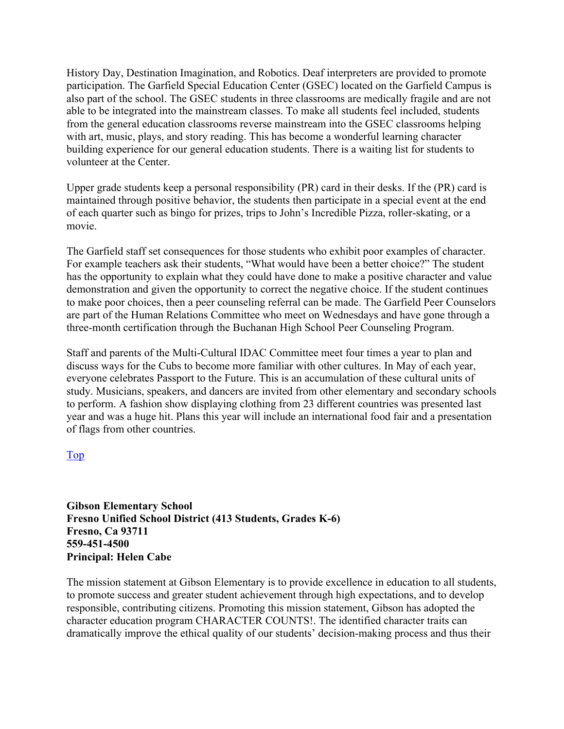History Day, Destination Imagination, and Robotics. Deaf interpreters are provided to promote participation. The Garfield Special Education Center (GSEC) located on the Garfield Campus is also part of the school. The GSEC students in three classrooms are medically fragile and are not able to be integrated into the mainstream classes. To make all students feel included, students from the general education classrooms reverse mainstream into the GSEC classrooms helping with art, music, plays, and story reading. This has become a wonderful learning character building experience for our general education students. There is a waiting list for students to volunteer at the Center.

Upper grade students keep a personal responsibility (PR) card in their desks. If the (PR) card is maintained through positive behavior, the students then participate in a special event at the end of each quarter such as bingo for prizes, trips to John's Incredible Pizza, roller-skating, or a movie.

The Garfield staff set consequences for those students who exhibit poor examples of character. For example teachers ask their students, "What would have been a better choice?" The student has the opportunity to explain what they could have done to make a positive character and value demonstration and given the opportunity to correct the negative choice. If the student continues to make poor choices, then a peer counseling referral can be made. The Garfield Peer Counselors are part of the Human Relations Committee who meet on Wednesdays and have gone through a three-month certification through the Buchanan High School Peer Counseling Program.

Staff and parents of the Multi-Cultural IDAC Committee meet four times a year to plan and discuss ways for the Cubs to become more familiar with other cultures. In May of each year, everyone celebrates Passport to the Future. This is an accumulation of these cultural units of study. Musicians, speakers, and dancers are invited from other elementary and secondary schools to perform. A fashion show displaying clothing from 23 different countries was presented last year and was a huge hit. Plans this year will include an international food fair and a presentation of flags from other countries.

Top

**Gibson Elementary School Fresno Unified School District (413 Students, Grades K-6) Fresno, Ca 93711 559-451-4500 Principal: Helen Cabe** 

The mission statement at Gibson Elementary is to provide excellence in education to all students, to promote success and greater student achievement through high expectations, and to develop responsible, contributing citizens. Promoting this mission statement, Gibson has adopted the character education program CHARACTER COUNTS!. The identified character traits can dramatically improve the ethical quality of our students' decision-making process and thus their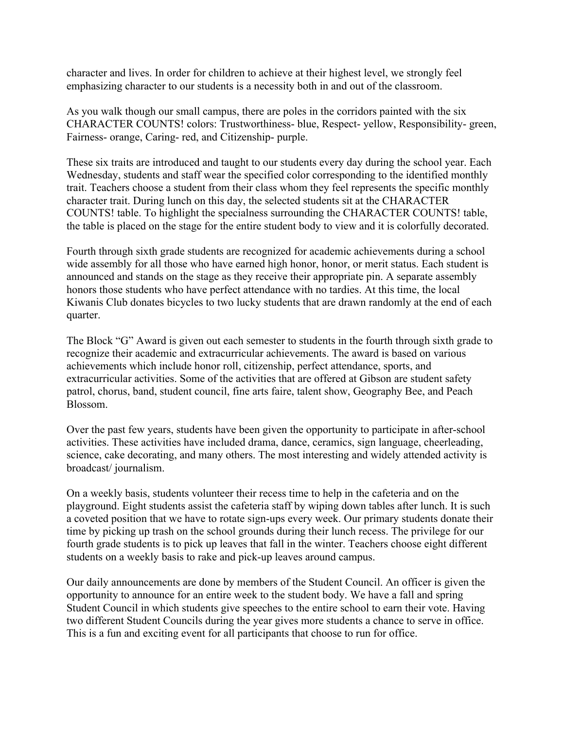character and lives. In order for children to achieve at their highest level, we strongly feel emphasizing character to our students is a necessity both in and out of the classroom.

As you walk though our small campus, there are poles in the corridors painted with the six CHARACTER COUNTS! colors: Trustworthiness- blue, Respect- yellow, Responsibility- green, Fairness- orange, Caring- red, and Citizenship- purple.

These six traits are introduced and taught to our students every day during the school year. Each Wednesday, students and staff wear the specified color corresponding to the identified monthly trait. Teachers choose a student from their class whom they feel represents the specific monthly character trait. During lunch on this day, the selected students sit at the CHARACTER COUNTS! table. To highlight the specialness surrounding the CHARACTER COUNTS! table, the table is placed on the stage for the entire student body to view and it is colorfully decorated.

Fourth through sixth grade students are recognized for academic achievements during a school wide assembly for all those who have earned high honor, honor, or merit status. Each student is announced and stands on the stage as they receive their appropriate pin. A separate assembly honors those students who have perfect attendance with no tardies. At this time, the local Kiwanis Club donates bicycles to two lucky students that are drawn randomly at the end of each quarter.

The Block "G" Award is given out each semester to students in the fourth through sixth grade to recognize their academic and extracurricular achievements. The award is based on various achievements which include honor roll, citizenship, perfect attendance, sports, and extracurricular activities. Some of the activities that are offered at Gibson are student safety patrol, chorus, band, student council, fine arts faire, talent show, Geography Bee, and Peach Blossom.

Over the past few years, students have been given the opportunity to participate in after-school activities. These activities have included drama, dance, ceramics, sign language, cheerleading, science, cake decorating, and many others. The most interesting and widely attended activity is broadcast/ journalism.

On a weekly basis, students volunteer their recess time to help in the cafeteria and on the playground. Eight students assist the cafeteria staff by wiping down tables after lunch. It is such a coveted position that we have to rotate sign-ups every week. Our primary students donate their time by picking up trash on the school grounds during their lunch recess. The privilege for our fourth grade students is to pick up leaves that fall in the winter. Teachers choose eight different students on a weekly basis to rake and pick-up leaves around campus.

Our daily announcements are done by members of the Student Council. An officer is given the opportunity to announce for an entire week to the student body. We have a fall and spring Student Council in which students give speeches to the entire school to earn their vote. Having two different Student Councils during the year gives more students a chance to serve in office. This is a fun and exciting event for all participants that choose to run for office.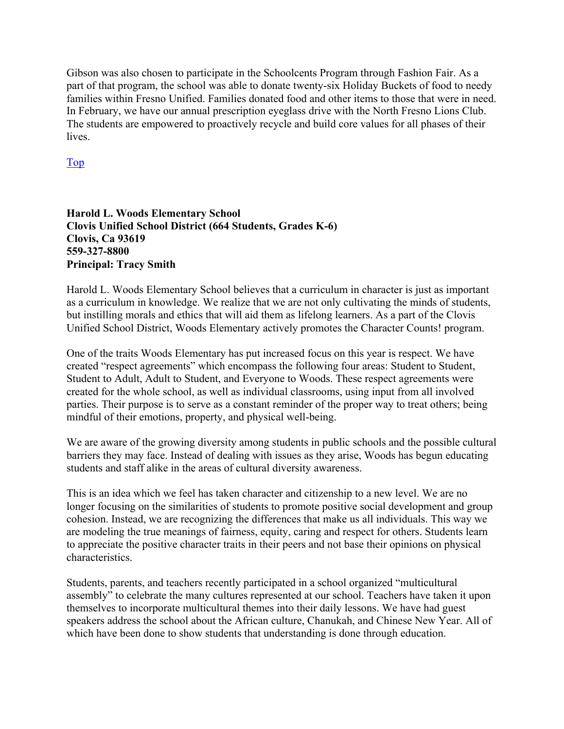Gibson was also chosen to participate in the Schoolcents Program through Fashion Fair. As a part of that program, the school was able to donate twenty-six Holiday Buckets of food to needy families within Fresno Unified. Families donated food and other items to those that were in need. In February, we have our annual prescription eyeglass drive with the North Fresno Lions Club. The students are empowered to proactively recycle and build core values for all phases of their lives.

Top

#### **Harold L. Woods Elementary School Clovis Unified School District (664 Students, Grades K-6) Clovis, Ca 93619 559-327-8800 Principal: Tracy Smith**

Harold L. Woods Elementary School believes that a curriculum in character is just as important as a curriculum in knowledge. We realize that we are not only cultivating the minds of students, but instilling morals and ethics that will aid them as lifelong learners. As a part of the Clovis Unified School District, Woods Elementary actively promotes the Character Counts! program.

One of the traits Woods Elementary has put increased focus on this year is respect. We have created "respect agreements" which encompass the following four areas: Student to Student, Student to Adult, Adult to Student, and Everyone to Woods. These respect agreements were created for the whole school, as well as individual classrooms, using input from all involved parties. Their purpose is to serve as a constant reminder of the proper way to treat others; being mindful of their emotions, property, and physical well-being.

We are aware of the growing diversity among students in public schools and the possible cultural barriers they may face. Instead of dealing with issues as they arise, Woods has begun educating students and staff alike in the areas of cultural diversity awareness.

This is an idea which we feel has taken character and citizenship to a new level. We are no longer focusing on the similarities of students to promote positive social development and group cohesion. Instead, we are recognizing the differences that make us all individuals. This way we are modeling the true meanings of fairness, equity, caring and respect for others. Students learn to appreciate the positive character traits in their peers and not base their opinions on physical characteristics.

Students, parents, and teachers recently participated in a school organized "multicultural assembly" to celebrate the many cultures represented at our school. Teachers have taken it upon themselves to incorporate multicultural themes into their daily lessons. We have had guest speakers address the school about the African culture, Chanukah, and Chinese New Year. All of which have been done to show students that understanding is done through education.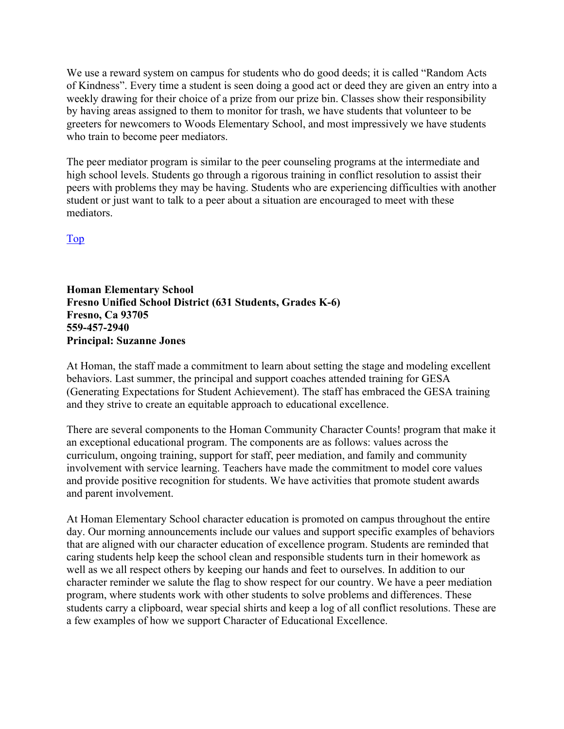We use a reward system on campus for students who do good deeds; it is called "Random Acts of Kindness". Every time a student is seen doing a good act or deed they are given an entry into a weekly drawing for their choice of a prize from our prize bin. Classes show their responsibility by having areas assigned to them to monitor for trash, we have students that volunteer to be greeters for newcomers to Woods Elementary School, and most impressively we have students who train to become peer mediators.

The peer mediator program is similar to the peer counseling programs at the intermediate and high school levels. Students go through a rigorous training in conflict resolution to assist their peers with problems they may be having. Students who are experiencing difficulties with another student or just want to talk to a peer about a situation are encouraged to meet with these mediators.

Top

**Homan Elementary School Fresno Unified School District (631 Students, Grades K-6) Fresno, Ca 93705 559-457-2940 Principal: Suzanne Jones** 

At Homan, the staff made a commitment to learn about setting the stage and modeling excellent behaviors. Last summer, the principal and support coaches attended training for GESA (Generating Expectations for Student Achievement). The staff has embraced the GESA training and they strive to create an equitable approach to educational excellence.

There are several components to the Homan Community Character Counts! program that make it an exceptional educational program. The components are as follows: values across the curriculum, ongoing training, support for staff, peer mediation, and family and community involvement with service learning. Teachers have made the commitment to model core values and provide positive recognition for students. We have activities that promote student awards and parent involvement.

At Homan Elementary School character education is promoted on campus throughout the entire day. Our morning announcements include our values and support specific examples of behaviors that are aligned with our character education of excellence program. Students are reminded that caring students help keep the school clean and responsible students turn in their homework as well as we all respect others by keeping our hands and feet to ourselves. In addition to our character reminder we salute the flag to show respect for our country. We have a peer mediation program, where students work with other students to solve problems and differences. These students carry a clipboard, wear special shirts and keep a log of all conflict resolutions. These are a few examples of how we support Character of Educational Excellence.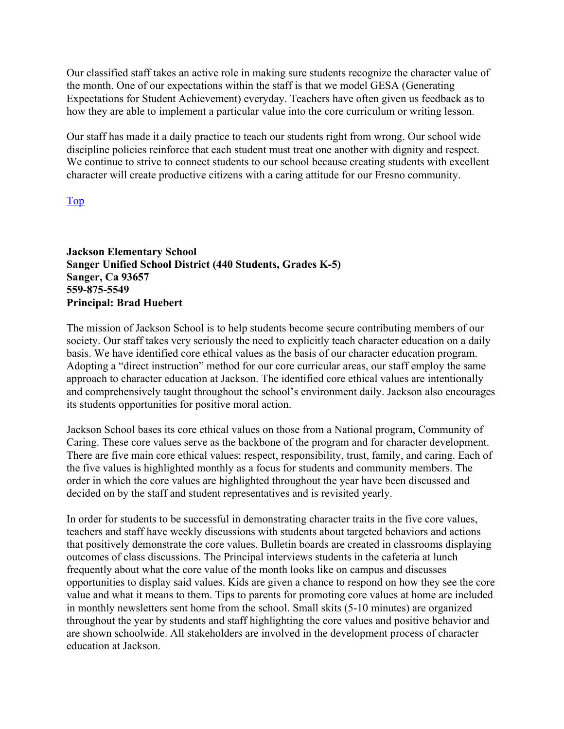Our classified staff takes an active role in making sure students recognize the character value of the month. One of our expectations within the staff is that we model GESA (Generating Expectations for Student Achievement) everyday. Teachers have often given us feedback as to how they are able to implement a particular value into the core curriculum or writing lesson.

Our staff has made it a daily practice to teach our students right from wrong. Our school wide discipline policies reinforce that each student must treat one another with dignity and respect. We continue to strive to connect students to our school because creating students with excellent character will create productive citizens with a caring attitude for our Fresno community.

Top

**Jackson Elementary School Sanger Unified School District (440 Students, Grades K-5) Sanger, Ca 93657 559-875-5549 Principal: Brad Huebert** 

The mission of Jackson School is to help students become secure contributing members of our society. Our staff takes very seriously the need to explicitly teach character education on a daily basis. We have identified core ethical values as the basis of our character education program. Adopting a "direct instruction" method for our core curricular areas, our staff employ the same approach to character education at Jackson. The identified core ethical values are intentionally and comprehensively taught throughout the school's environment daily. Jackson also encourages its students opportunities for positive moral action.

Jackson School bases its core ethical values on those from a National program, Community of Caring. These core values serve as the backbone of the program and for character development. There are five main core ethical values: respect, responsibility, trust, family, and caring. Each of the five values is highlighted monthly as a focus for students and community members. The order in which the core values are highlighted throughout the year have been discussed and decided on by the staff and student representatives and is revisited yearly.

In order for students to be successful in demonstrating character traits in the five core values, teachers and staff have weekly discussions with students about targeted behaviors and actions that positively demonstrate the core values. Bulletin boards are created in classrooms displaying outcomes of class discussions. The Principal interviews students in the cafeteria at lunch frequently about what the core value of the month looks like on campus and discusses opportunities to display said values. Kids are given a chance to respond on how they see the core value and what it means to them. Tips to parents for promoting core values at home are included in monthly newsletters sent home from the school. Small skits (5-10 minutes) are organized throughout the year by students and staff highlighting the core values and positive behavior and are shown schoolwide. All stakeholders are involved in the development process of character education at Jackson.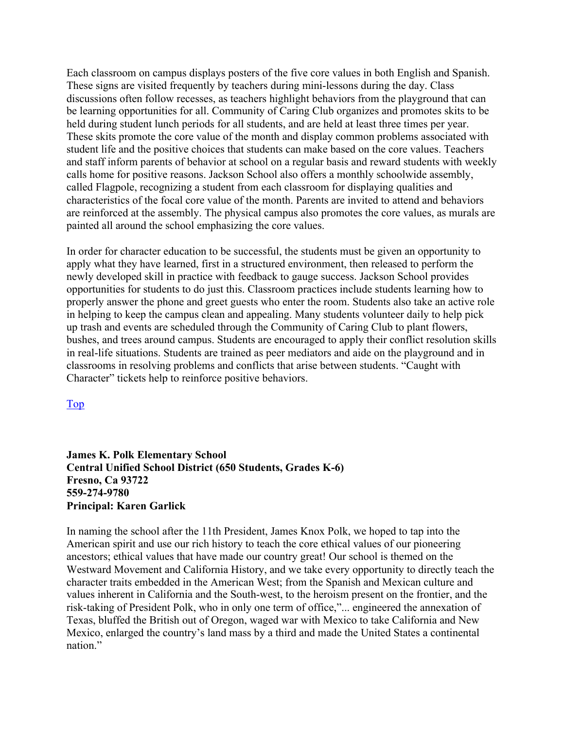Each classroom on campus displays posters of the five core values in both English and Spanish. These signs are visited frequently by teachers during mini-lessons during the day. Class discussions often follow recesses, as teachers highlight behaviors from the playground that can be learning opportunities for all. Community of Caring Club organizes and promotes skits to be held during student lunch periods for all students, and are held at least three times per year. These skits promote the core value of the month and display common problems associated with student life and the positive choices that students can make based on the core values. Teachers and staff inform parents of behavior at school on a regular basis and reward students with weekly calls home for positive reasons. Jackson School also offers a monthly schoolwide assembly, called Flagpole, recognizing a student from each classroom for displaying qualities and characteristics of the focal core value of the month. Parents are invited to attend and behaviors are reinforced at the assembly. The physical campus also promotes the core values, as murals are painted all around the school emphasizing the core values.

In order for character education to be successful, the students must be given an opportunity to apply what they have learned, first in a structured environment, then released to perform the newly developed skill in practice with feedback to gauge success. Jackson School provides opportunities for students to do just this. Classroom practices include students learning how to properly answer the phone and greet guests who enter the room. Students also take an active role in helping to keep the campus clean and appealing. Many students volunteer daily to help pick up trash and events are scheduled through the Community of Caring Club to plant flowers, bushes, and trees around campus. Students are encouraged to apply their conflict resolution skills in real-life situations. Students are trained as peer mediators and aide on the playground and in classrooms in resolving problems and conflicts that arise between students. "Caught with Character" tickets help to reinforce positive behaviors.

Top

#### **James K. Polk Elementary School Central Unified School District (650 Students, Grades K-6) Fresno, Ca 93722 559-274-9780 Principal: Karen Garlick**

In naming the school after the 11th President, James Knox Polk, we hoped to tap into the American spirit and use our rich history to teach the core ethical values of our pioneering ancestors; ethical values that have made our country great! Our school is themed on the Westward Movement and California History, and we take every opportunity to directly teach the character traits embedded in the American West; from the Spanish and Mexican culture and values inherent in California and the South-west, to the heroism present on the frontier, and the risk-taking of President Polk, who in only one term of office,"... engineered the annexation of Texas, bluffed the British out of Oregon, waged war with Mexico to take California and New Mexico, enlarged the country's land mass by a third and made the United States a continental nation."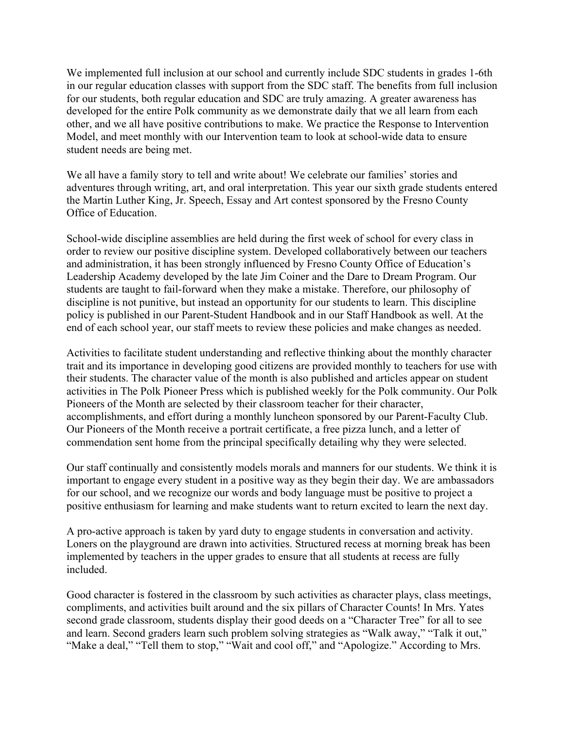We implemented full inclusion at our school and currently include SDC students in grades 1-6th in our regular education classes with support from the SDC staff. The benefits from full inclusion for our students, both regular education and SDC are truly amazing. A greater awareness has developed for the entire Polk community as we demonstrate daily that we all learn from each other, and we all have positive contributions to make. We practice the Response to Intervention Model, and meet monthly with our Intervention team to look at school-wide data to ensure student needs are being met.

We all have a family story to tell and write about! We celebrate our families' stories and adventures through writing, art, and oral interpretation. This year our sixth grade students entered the Martin Luther King, Jr. Speech, Essay and Art contest sponsored by the Fresno County Office of Education.

School-wide discipline assemblies are held during the first week of school for every class in order to review our positive discipline system. Developed collaboratively between our teachers and administration, it has been strongly influenced by Fresno County Office of Education's Leadership Academy developed by the late Jim Coiner and the Dare to Dream Program. Our students are taught to fail-forward when they make a mistake. Therefore, our philosophy of discipline is not punitive, but instead an opportunity for our students to learn. This discipline policy is published in our Parent-Student Handbook and in our Staff Handbook as well. At the end of each school year, our staff meets to review these policies and make changes as needed.

Activities to facilitate student understanding and reflective thinking about the monthly character trait and its importance in developing good citizens are provided monthly to teachers for use with their students. The character value of the month is also published and articles appear on student activities in The Polk Pioneer Press which is published weekly for the Polk community. Our Polk Pioneers of the Month are selected by their classroom teacher for their character, accomplishments, and effort during a monthly luncheon sponsored by our Parent-Faculty Club. Our Pioneers of the Month receive a portrait certificate, a free pizza lunch, and a letter of commendation sent home from the principal specifically detailing why they were selected.

Our staff continually and consistently models morals and manners for our students. We think it is important to engage every student in a positive way as they begin their day. We are ambassadors for our school, and we recognize our words and body language must be positive to project a positive enthusiasm for learning and make students want to return excited to learn the next day.

A pro-active approach is taken by yard duty to engage students in conversation and activity. Loners on the playground are drawn into activities. Structured recess at morning break has been implemented by teachers in the upper grades to ensure that all students at recess are fully included.

Good character is fostered in the classroom by such activities as character plays, class meetings, compliments, and activities built around and the six pillars of Character Counts! In Mrs. Yates second grade classroom, students display their good deeds on a "Character Tree" for all to see and learn. Second graders learn such problem solving strategies as "Walk away," "Talk it out," "Make a deal," "Tell them to stop," "Wait and cool off," and "Apologize." According to Mrs.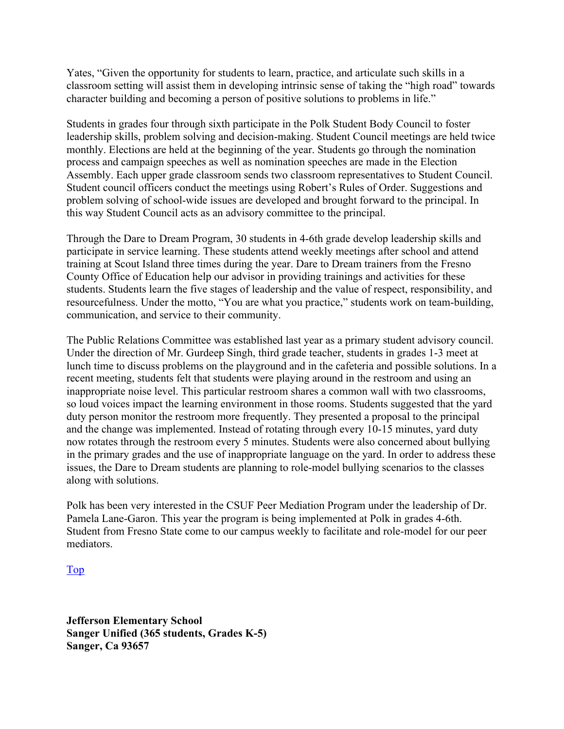Yates, "Given the opportunity for students to learn, practice, and articulate such skills in a classroom setting will assist them in developing intrinsic sense of taking the "high road" towards character building and becoming a person of positive solutions to problems in life."

Students in grades four through sixth participate in the Polk Student Body Council to foster leadership skills, problem solving and decision-making. Student Council meetings are held twice monthly. Elections are held at the beginning of the year. Students go through the nomination process and campaign speeches as well as nomination speeches are made in the Election Assembly. Each upper grade classroom sends two classroom representatives to Student Council. Student council officers conduct the meetings using Robert's Rules of Order. Suggestions and problem solving of school-wide issues are developed and brought forward to the principal. In this way Student Council acts as an advisory committee to the principal.

Through the Dare to Dream Program, 30 students in 4-6th grade develop leadership skills and participate in service learning. These students attend weekly meetings after school and attend training at Scout Island three times during the year. Dare to Dream trainers from the Fresno County Office of Education help our advisor in providing trainings and activities for these students. Students learn the five stages of leadership and the value of respect, responsibility, and resourcefulness. Under the motto, "You are what you practice," students work on team-building, communication, and service to their community.

The Public Relations Committee was established last year as a primary student advisory council. Under the direction of Mr. Gurdeep Singh, third grade teacher, students in grades 1-3 meet at lunch time to discuss problems on the playground and in the cafeteria and possible solutions. In a recent meeting, students felt that students were playing around in the restroom and using an inappropriate noise level. This particular restroom shares a common wall with two classrooms, so loud voices impact the learning environment in those rooms. Students suggested that the yard duty person monitor the restroom more frequently. They presented a proposal to the principal and the change was implemented. Instead of rotating through every 10-15 minutes, yard duty now rotates through the restroom every 5 minutes. Students were also concerned about bullying in the primary grades and the use of inappropriate language on the yard. In order to address these issues, the Dare to Dream students are planning to role-model bullying scenarios to the classes along with solutions.

Polk has been very interested in the CSUF Peer Mediation Program under the leadership of Dr. Pamela Lane-Garon. This year the program is being implemented at Polk in grades 4-6th. Student from Fresno State come to our campus weekly to facilitate and role-model for our peer mediators.

Top

**Jefferson Elementary School Sanger Unified (365 students, Grades K-5) Sanger, Ca 93657**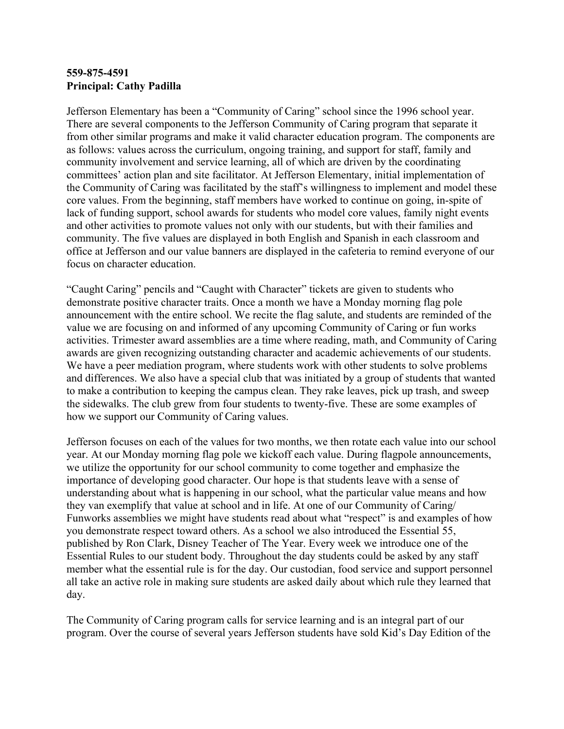#### **559-875-4591 Principal: Cathy Padilla**

Jefferson Elementary has been a "Community of Caring" school since the 1996 school year. There are several components to the Jefferson Community of Caring program that separate it from other similar programs and make it valid character education program. The components are as follows: values across the curriculum, ongoing training, and support for staff, family and community involvement and service learning, all of which are driven by the coordinating committees' action plan and site facilitator. At Jefferson Elementary, initial implementation of the Community of Caring was facilitated by the staff's willingness to implement and model these core values. From the beginning, staff members have worked to continue on going, in-spite of lack of funding support, school awards for students who model core values, family night events and other activities to promote values not only with our students, but with their families and community. The five values are displayed in both English and Spanish in each classroom and office at Jefferson and our value banners are displayed in the cafeteria to remind everyone of our focus on character education.

"Caught Caring" pencils and "Caught with Character" tickets are given to students who demonstrate positive character traits. Once a month we have a Monday morning flag pole announcement with the entire school. We recite the flag salute, and students are reminded of the value we are focusing on and informed of any upcoming Community of Caring or fun works activities. Trimester award assemblies are a time where reading, math, and Community of Caring awards are given recognizing outstanding character and academic achievements of our students. We have a peer mediation program, where students work with other students to solve problems and differences. We also have a special club that was initiated by a group of students that wanted to make a contribution to keeping the campus clean. They rake leaves, pick up trash, and sweep the sidewalks. The club grew from four students to twenty-five. These are some examples of how we support our Community of Caring values.

Jefferson focuses on each of the values for two months, we then rotate each value into our school year. At our Monday morning flag pole we kickoff each value. During flagpole announcements, we utilize the opportunity for our school community to come together and emphasize the importance of developing good character. Our hope is that students leave with a sense of understanding about what is happening in our school, what the particular value means and how they van exemplify that value at school and in life. At one of our Community of Caring/ Funworks assemblies we might have students read about what "respect" is and examples of how you demonstrate respect toward others. As a school we also introduced the Essential 55, published by Ron Clark, Disney Teacher of The Year. Every week we introduce one of the Essential Rules to our student body. Throughout the day students could be asked by any staff member what the essential rule is for the day. Our custodian, food service and support personnel all take an active role in making sure students are asked daily about which rule they learned that day.

The Community of Caring program calls for service learning and is an integral part of our program. Over the course of several years Jefferson students have sold Kid's Day Edition of the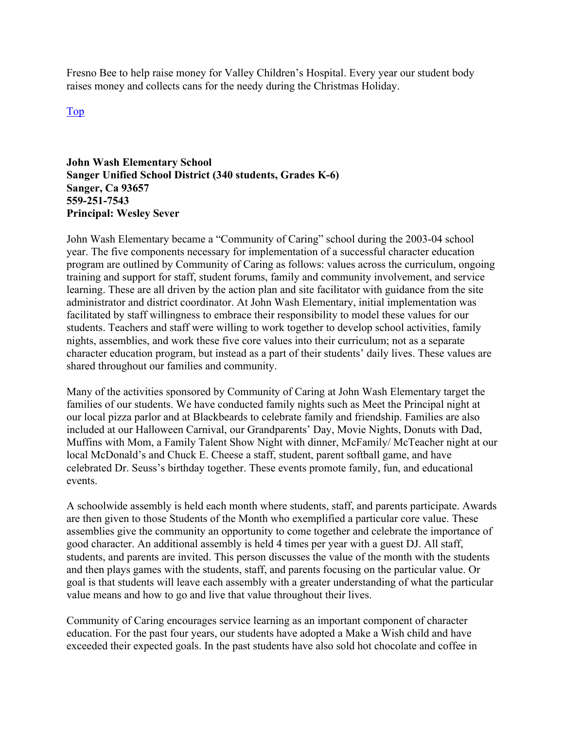Fresno Bee to help raise money for Valley Children's Hospital. Every year our student body raises money and collects cans for the needy during the Christmas Holiday.

Top

**John Wash Elementary School Sanger Unified School District (340 students, Grades K-6) Sanger, Ca 93657 559-251-7543 Principal: Wesley Sever** 

John Wash Elementary became a "Community of Caring" school during the 2003-04 school year. The five components necessary for implementation of a successful character education program are outlined by Community of Caring as follows: values across the curriculum, ongoing training and support for staff, student forums, family and community involvement, and service learning. These are all driven by the action plan and site facilitator with guidance from the site administrator and district coordinator. At John Wash Elementary, initial implementation was facilitated by staff willingness to embrace their responsibility to model these values for our students. Teachers and staff were willing to work together to develop school activities, family nights, assemblies, and work these five core values into their curriculum; not as a separate character education program, but instead as a part of their students' daily lives. These values are shared throughout our families and community.

Many of the activities sponsored by Community of Caring at John Wash Elementary target the families of our students. We have conducted family nights such as Meet the Principal night at our local pizza parlor and at Blackbeards to celebrate family and friendship. Families are also included at our Halloween Carnival, our Grandparents' Day, Movie Nights, Donuts with Dad, Muffins with Mom, a Family Talent Show Night with dinner, McFamily/ McTeacher night at our local McDonald's and Chuck E. Cheese a staff, student, parent softball game, and have celebrated Dr. Seuss's birthday together. These events promote family, fun, and educational events.

A schoolwide assembly is held each month where students, staff, and parents participate. Awards are then given to those Students of the Month who exemplified a particular core value. These assemblies give the community an opportunity to come together and celebrate the importance of good character. An additional assembly is held 4 times per year with a guest DJ. All staff, students, and parents are invited. This person discusses the value of the month with the students and then plays games with the students, staff, and parents focusing on the particular value. Or goal is that students will leave each assembly with a greater understanding of what the particular value means and how to go and live that value throughout their lives.

Community of Caring encourages service learning as an important component of character education. For the past four years, our students have adopted a Make a Wish child and have exceeded their expected goals. In the past students have also sold hot chocolate and coffee in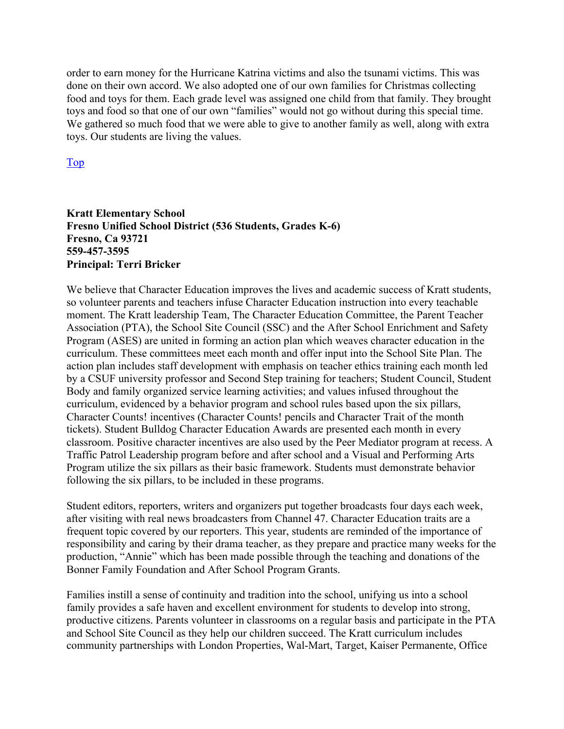order to earn money for the Hurricane Katrina victims and also the tsunami victims. This was done on their own accord. We also adopted one of our own families for Christmas collecting food and toys for them. Each grade level was assigned one child from that family. They brought toys and food so that one of our own "families" would not go without during this special time. We gathered so much food that we were able to give to another family as well, along with extra toys. Our students are living the values.

Top

#### **Kratt Elementary School Fresno Unified School District (536 Students, Grades K-6) Fresno, Ca 93721 559-457-3595 Principal: Terri Bricker**

We believe that Character Education improves the lives and academic success of Kratt students, so volunteer parents and teachers infuse Character Education instruction into every teachable moment. The Kratt leadership Team, The Character Education Committee, the Parent Teacher Association (PTA), the School Site Council (SSC) and the After School Enrichment and Safety Program (ASES) are united in forming an action plan which weaves character education in the curriculum. These committees meet each month and offer input into the School Site Plan. The action plan includes staff development with emphasis on teacher ethics training each month led by a CSUF university professor and Second Step training for teachers; Student Council, Student Body and family organized service learning activities; and values infused throughout the curriculum, evidenced by a behavior program and school rules based upon the six pillars, Character Counts! incentives (Character Counts! pencils and Character Trait of the month tickets). Student Bulldog Character Education Awards are presented each month in every classroom. Positive character incentives are also used by the Peer Mediator program at recess. A Traffic Patrol Leadership program before and after school and a Visual and Performing Arts Program utilize the six pillars as their basic framework. Students must demonstrate behavior following the six pillars, to be included in these programs.

Student editors, reporters, writers and organizers put together broadcasts four days each week, after visiting with real news broadcasters from Channel 47. Character Education traits are a frequent topic covered by our reporters. This year, students are reminded of the importance of responsibility and caring by their drama teacher, as they prepare and practice many weeks for the production, "Annie" which has been made possible through the teaching and donations of the Bonner Family Foundation and After School Program Grants.

Families instill a sense of continuity and tradition into the school, unifying us into a school family provides a safe haven and excellent environment for students to develop into strong, productive citizens. Parents volunteer in classrooms on a regular basis and participate in the PTA and School Site Council as they help our children succeed. The Kratt curriculum includes community partnerships with London Properties, Wal-Mart, Target, Kaiser Permanente, Office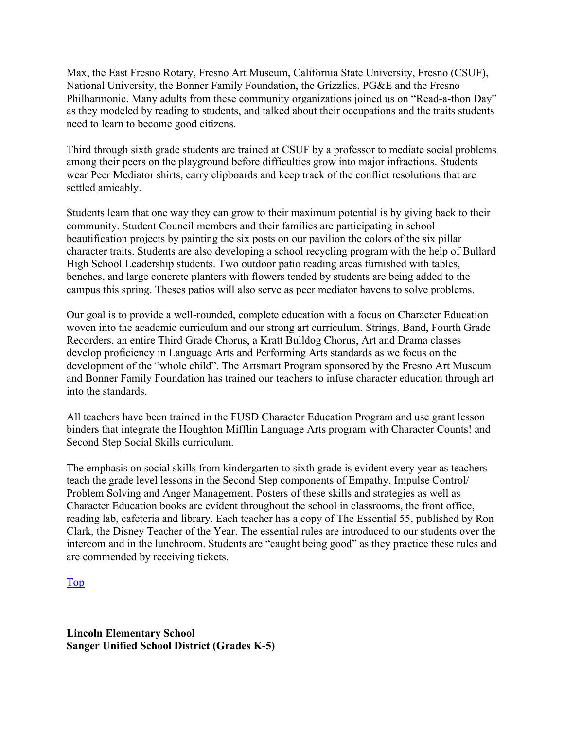Max, the East Fresno Rotary, Fresno Art Museum, California State University, Fresno (CSUF), National University, the Bonner Family Foundation, the Grizzlies, PG&E and the Fresno Philharmonic. Many adults from these community organizations joined us on "Read-a-thon Day" as they modeled by reading to students, and talked about their occupations and the traits students need to learn to become good citizens.

Third through sixth grade students are trained at CSUF by a professor to mediate social problems among their peers on the playground before difficulties grow into major infractions. Students wear Peer Mediator shirts, carry clipboards and keep track of the conflict resolutions that are settled amicably.

Students learn that one way they can grow to their maximum potential is by giving back to their community. Student Council members and their families are participating in school beautification projects by painting the six posts on our pavilion the colors of the six pillar character traits. Students are also developing a school recycling program with the help of Bullard High School Leadership students. Two outdoor patio reading areas furnished with tables, benches, and large concrete planters with flowers tended by students are being added to the campus this spring. Theses patios will also serve as peer mediator havens to solve problems.

Our goal is to provide a well-rounded, complete education with a focus on Character Education woven into the academic curriculum and our strong art curriculum. Strings, Band, Fourth Grade Recorders, an entire Third Grade Chorus, a Kratt Bulldog Chorus, Art and Drama classes develop proficiency in Language Arts and Performing Arts standards as we focus on the development of the "whole child". The Artsmart Program sponsored by the Fresno Art Museum and Bonner Family Foundation has trained our teachers to infuse character education through art into the standards.

All teachers have been trained in the FUSD Character Education Program and use grant lesson binders that integrate the Houghton Mifflin Language Arts program with Character Counts! and Second Step Social Skills curriculum.

The emphasis on social skills from kindergarten to sixth grade is evident every year as teachers teach the grade level lessons in the Second Step components of Empathy, Impulse Control/ Problem Solving and Anger Management. Posters of these skills and strategies as well as Character Education books are evident throughout the school in classrooms, the front office, reading lab, cafeteria and library. Each teacher has a copy of The Essential 55, published by Ron Clark, the Disney Teacher of the Year. The essential rules are introduced to our students over the intercom and in the lunchroom. Students are "caught being good" as they practice these rules and are commended by receiving tickets.

#### Top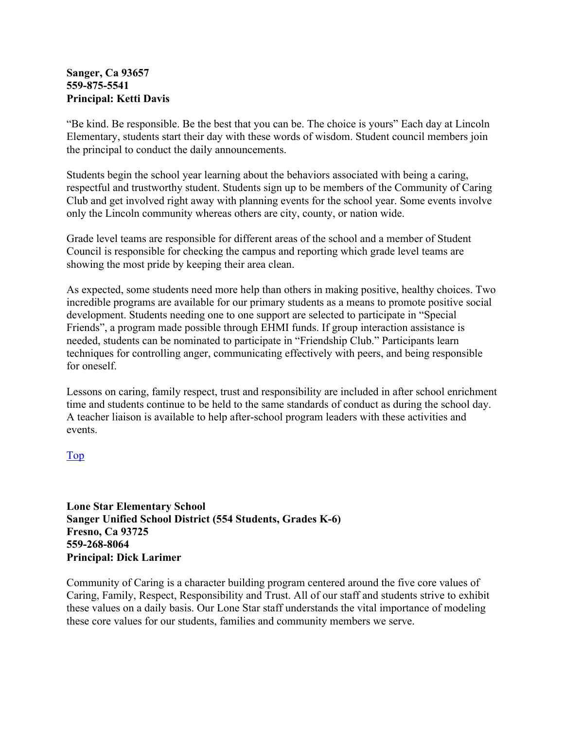#### **Sanger, Ca 93657 559-875-5541 Principal: Ketti Davis**

"Be kind. Be responsible. Be the best that you can be. The choice is yours" Each day at Lincoln Elementary, students start their day with these words of wisdom. Student council members join the principal to conduct the daily announcements.

Students begin the school year learning about the behaviors associated with being a caring, respectful and trustworthy student. Students sign up to be members of the Community of Caring Club and get involved right away with planning events for the school year. Some events involve only the Lincoln community whereas others are city, county, or nation wide.

Grade level teams are responsible for different areas of the school and a member of Student Council is responsible for checking the campus and reporting which grade level teams are showing the most pride by keeping their area clean.

As expected, some students need more help than others in making positive, healthy choices. Two incredible programs are available for our primary students as a means to promote positive social development. Students needing one to one support are selected to participate in "Special Friends", a program made possible through EHMI funds. If group interaction assistance is needed, students can be nominated to participate in "Friendship Club." Participants learn techniques for controlling anger, communicating effectively with peers, and being responsible for oneself.

Lessons on caring, family respect, trust and responsibility are included in after school enrichment time and students continue to be held to the same standards of conduct as during the school day. A teacher liaison is available to help after-school program leaders with these activities and events.

Top

**Lone Star Elementary School Sanger Unified School District (554 Students, Grades K-6) Fresno, Ca 93725 559-268-8064 Principal: Dick Larimer** 

Community of Caring is a character building program centered around the five core values of Caring, Family, Respect, Responsibility and Trust. All of our staff and students strive to exhibit these values on a daily basis. Our Lone Star staff understands the vital importance of modeling these core values for our students, families and community members we serve.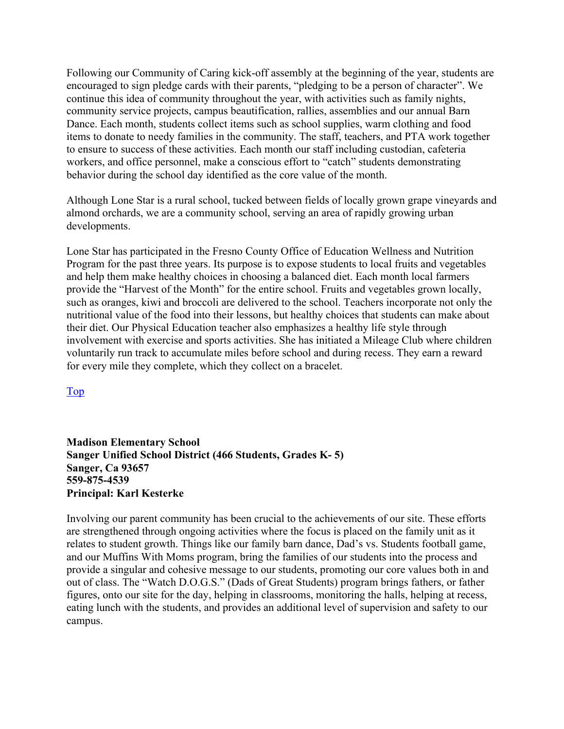Following our Community of Caring kick-off assembly at the beginning of the year, students are encouraged to sign pledge cards with their parents, "pledging to be a person of character". We continue this idea of community throughout the year, with activities such as family nights, community service projects, campus beautification, rallies, assemblies and our annual Barn Dance. Each month, students collect items such as school supplies, warm clothing and food items to donate to needy families in the community. The staff, teachers, and PTA work together to ensure to success of these activities. Each month our staff including custodian, cafeteria workers, and office personnel, make a conscious effort to "catch" students demonstrating behavior during the school day identified as the core value of the month.

Although Lone Star is a rural school, tucked between fields of locally grown grape vineyards and almond orchards, we are a community school, serving an area of rapidly growing urban developments.

Lone Star has participated in the Fresno County Office of Education Wellness and Nutrition Program for the past three years. Its purpose is to expose students to local fruits and vegetables and help them make healthy choices in choosing a balanced diet. Each month local farmers provide the "Harvest of the Month" for the entire school. Fruits and vegetables grown locally, such as oranges, kiwi and broccoli are delivered to the school. Teachers incorporate not only the nutritional value of the food into their lessons, but healthy choices that students can make about their diet. Our Physical Education teacher also emphasizes a healthy life style through involvement with exercise and sports activities. She has initiated a Mileage Club where children voluntarily run track to accumulate miles before school and during recess. They earn a reward for every mile they complete, which they collect on a bracelet.

Top

#### **Madison Elementary School Sanger Unified School District (466 Students, Grades K- 5) Sanger, Ca 93657 559-875-4539 Principal: Karl Kesterke**

Involving our parent community has been crucial to the achievements of our site. These efforts are strengthened through ongoing activities where the focus is placed on the family unit as it relates to student growth. Things like our family barn dance, Dad's vs. Students football game, and our Muffins With Moms program, bring the families of our students into the process and provide a singular and cohesive message to our students, promoting our core values both in and out of class. The "Watch D.O.G.S." (Dads of Great Students) program brings fathers, or father figures, onto our site for the day, helping in classrooms, monitoring the halls, helping at recess, eating lunch with the students, and provides an additional level of supervision and safety to our campus.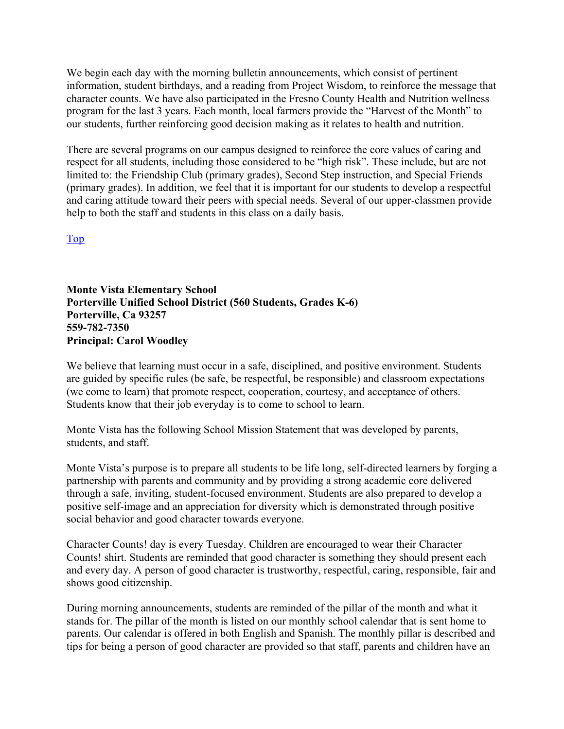We begin each day with the morning bulletin announcements, which consist of pertinent information, student birthdays, and a reading from Project Wisdom, to reinforce the message that character counts. We have also participated in the Fresno County Health and Nutrition wellness program for the last 3 years. Each month, local farmers provide the "Harvest of the Month" to our students, further reinforcing good decision making as it relates to health and nutrition.

There are several programs on our campus designed to reinforce the core values of caring and respect for all students, including those considered to be "high risk". These include, but are not limited to: the Friendship Club (primary grades), Second Step instruction, and Special Friends (primary grades). In addition, we feel that it is important for our students to develop a respectful and caring attitude toward their peers with special needs. Several of our upper-classmen provide help to both the staff and students in this class on a daily basis.

Top

**Monte Vista Elementary School Porterville Unified School District (560 Students, Grades K-6) Porterville, Ca 93257 559-782-7350 Principal: Carol Woodley** 

We believe that learning must occur in a safe, disciplined, and positive environment. Students are guided by specific rules (be safe, be respectful, be responsible) and classroom expectations (we come to learn) that promote respect, cooperation, courtesy, and acceptance of others. Students know that their job everyday is to come to school to learn.

Monte Vista has the following School Mission Statement that was developed by parents, students, and staff.

Monte Vista's purpose is to prepare all students to be life long, self-directed learners by forging a partnership with parents and community and by providing a strong academic core delivered through a safe, inviting, student-focused environment. Students are also prepared to develop a positive self-image and an appreciation for diversity which is demonstrated through positive social behavior and good character towards everyone.

Character Counts! day is every Tuesday. Children are encouraged to wear their Character Counts! shirt. Students are reminded that good character is something they should present each and every day. A person of good character is trustworthy, respectful, caring, responsible, fair and shows good citizenship.

During morning announcements, students are reminded of the pillar of the month and what it stands for. The pillar of the month is listed on our monthly school calendar that is sent home to parents. Our calendar is offered in both English and Spanish. The monthly pillar is described and tips for being a person of good character are provided so that staff, parents and children have an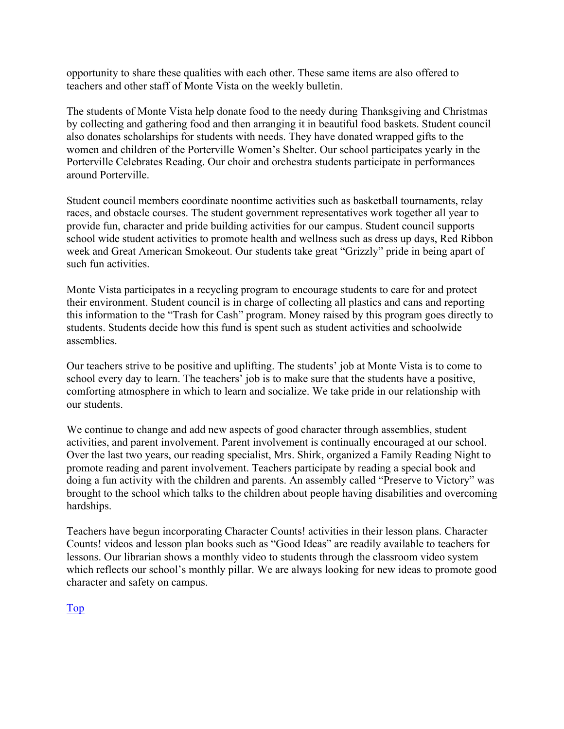opportunity to share these qualities with each other. These same items are also offered to teachers and other staff of Monte Vista on the weekly bulletin.

The students of Monte Vista help donate food to the needy during Thanksgiving and Christmas by collecting and gathering food and then arranging it in beautiful food baskets. Student council also donates scholarships for students with needs. They have donated wrapped gifts to the women and children of the Porterville Women's Shelter. Our school participates yearly in the Porterville Celebrates Reading. Our choir and orchestra students participate in performances around Porterville.

Student council members coordinate noontime activities such as basketball tournaments, relay races, and obstacle courses. The student government representatives work together all year to provide fun, character and pride building activities for our campus. Student council supports school wide student activities to promote health and wellness such as dress up days, Red Ribbon week and Great American Smokeout. Our students take great "Grizzly" pride in being apart of such fun activities.

Monte Vista participates in a recycling program to encourage students to care for and protect their environment. Student council is in charge of collecting all plastics and cans and reporting this information to the "Trash for Cash" program. Money raised by this program goes directly to students. Students decide how this fund is spent such as student activities and schoolwide assemblies.

Our teachers strive to be positive and uplifting. The students' job at Monte Vista is to come to school every day to learn. The teachers' job is to make sure that the students have a positive, comforting atmosphere in which to learn and socialize. We take pride in our relationship with our students.

We continue to change and add new aspects of good character through assemblies, student activities, and parent involvement. Parent involvement is continually encouraged at our school. Over the last two years, our reading specialist, Mrs. Shirk, organized a Family Reading Night to promote reading and parent involvement. Teachers participate by reading a special book and doing a fun activity with the children and parents. An assembly called "Preserve to Victory" was brought to the school which talks to the children about people having disabilities and overcoming hardships.

Teachers have begun incorporating Character Counts! activities in their lesson plans. Character Counts! videos and lesson plan books such as "Good Ideas" are readily available to teachers for lessons. Our librarian shows a monthly video to students through the classroom video system which reflects our school's monthly pillar. We are always looking for new ideas to promote good character and safety on campus.

Top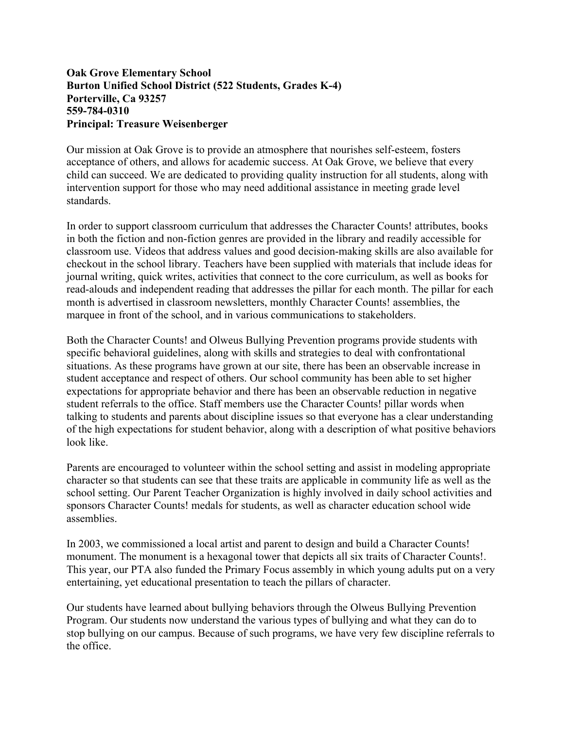#### **Oak Grove Elementary School Burton Unified School District (522 Students, Grades K-4) Porterville, Ca 93257 559-784-0310 Principal: Treasure Weisenberger**

Our mission at Oak Grove is to provide an atmosphere that nourishes self-esteem, fosters acceptance of others, and allows for academic success. At Oak Grove, we believe that every child can succeed. We are dedicated to providing quality instruction for all students, along with intervention support for those who may need additional assistance in meeting grade level standards.

In order to support classroom curriculum that addresses the Character Counts! attributes, books in both the fiction and non-fiction genres are provided in the library and readily accessible for classroom use. Videos that address values and good decision-making skills are also available for checkout in the school library. Teachers have been supplied with materials that include ideas for journal writing, quick writes, activities that connect to the core curriculum, as well as books for read-alouds and independent reading that addresses the pillar for each month. The pillar for each month is advertised in classroom newsletters, monthly Character Counts! assemblies, the marquee in front of the school, and in various communications to stakeholders.

Both the Character Counts! and Olweus Bullying Prevention programs provide students with specific behavioral guidelines, along with skills and strategies to deal with confrontational situations. As these programs have grown at our site, there has been an observable increase in student acceptance and respect of others. Our school community has been able to set higher expectations for appropriate behavior and there has been an observable reduction in negative student referrals to the office. Staff members use the Character Counts! pillar words when talking to students and parents about discipline issues so that everyone has a clear understanding of the high expectations for student behavior, along with a description of what positive behaviors look like.

Parents are encouraged to volunteer within the school setting and assist in modeling appropriate character so that students can see that these traits are applicable in community life as well as the school setting. Our Parent Teacher Organization is highly involved in daily school activities and sponsors Character Counts! medals for students, as well as character education school wide assemblies.

In 2003, we commissioned a local artist and parent to design and build a Character Counts! monument. The monument is a hexagonal tower that depicts all six traits of Character Counts!. This year, our PTA also funded the Primary Focus assembly in which young adults put on a very entertaining, yet educational presentation to teach the pillars of character.

Our students have learned about bullying behaviors through the Olweus Bullying Prevention Program. Our students now understand the various types of bullying and what they can do to stop bullying on our campus. Because of such programs, we have very few discipline referrals to the office.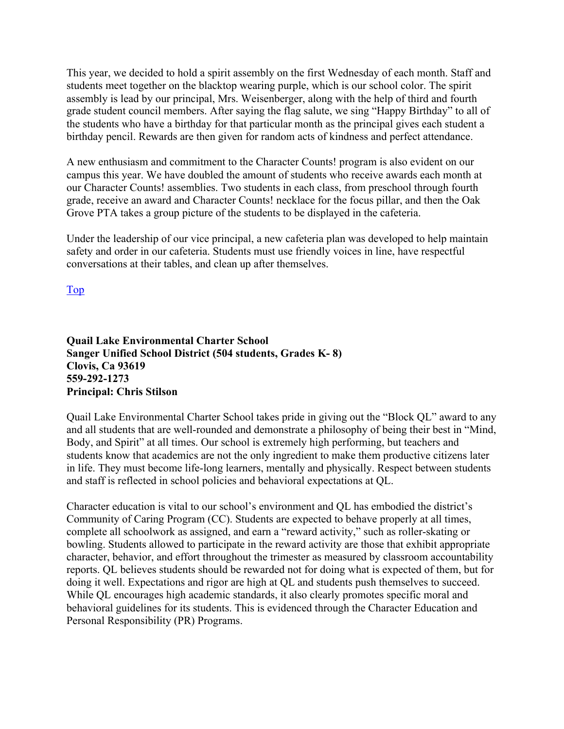This year, we decided to hold a spirit assembly on the first Wednesday of each month. Staff and students meet together on the blacktop wearing purple, which is our school color. The spirit assembly is lead by our principal, Mrs. Weisenberger, along with the help of third and fourth grade student council members. After saying the flag salute, we sing "Happy Birthday" to all of the students who have a birthday for that particular month as the principal gives each student a birthday pencil. Rewards are then given for random acts of kindness and perfect attendance.

A new enthusiasm and commitment to the Character Counts! program is also evident on our campus this year. We have doubled the amount of students who receive awards each month at our Character Counts! assemblies. Two students in each class, from preschool through fourth grade, receive an award and Character Counts! necklace for the focus pillar, and then the Oak Grove PTA takes a group picture of the students to be displayed in the cafeteria.

Under the leadership of our vice principal, a new cafeteria plan was developed to help maintain safety and order in our cafeteria. Students must use friendly voices in line, have respectful conversations at their tables, and clean up after themselves.

Top

**Quail Lake Environmental Charter School Sanger Unified School District (504 students, Grades K- 8) Clovis, Ca 93619 559-292-1273 Principal: Chris Stilson** 

Quail Lake Environmental Charter School takes pride in giving out the "Block QL" award to any and all students that are well-rounded and demonstrate a philosophy of being their best in "Mind, Body, and Spirit" at all times. Our school is extremely high performing, but teachers and students know that academics are not the only ingredient to make them productive citizens later in life. They must become life-long learners, mentally and physically. Respect between students and staff is reflected in school policies and behavioral expectations at QL.

Character education is vital to our school's environment and QL has embodied the district's Community of Caring Program (CC). Students are expected to behave properly at all times, complete all schoolwork as assigned, and earn a "reward activity," such as roller-skating or bowling. Students allowed to participate in the reward activity are those that exhibit appropriate character, behavior, and effort throughout the trimester as measured by classroom accountability reports. QL believes students should be rewarded not for doing what is expected of them, but for doing it well. Expectations and rigor are high at QL and students push themselves to succeed. While QL encourages high academic standards, it also clearly promotes specific moral and behavioral guidelines for its students. This is evidenced through the Character Education and Personal Responsibility (PR) Programs.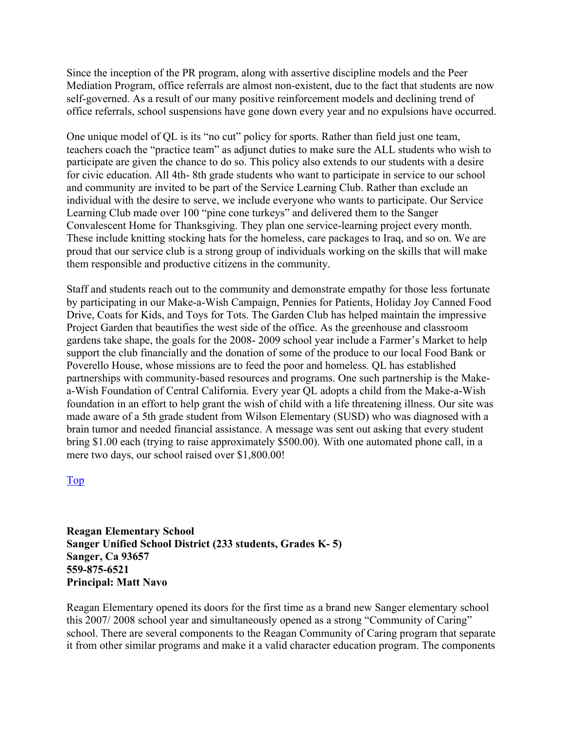Since the inception of the PR program, along with assertive discipline models and the Peer Mediation Program, office referrals are almost non-existent, due to the fact that students are now self-governed. As a result of our many positive reinforcement models and declining trend of office referrals, school suspensions have gone down every year and no expulsions have occurred.

One unique model of QL is its "no cut" policy for sports. Rather than field just one team, teachers coach the "practice team" as adjunct duties to make sure the ALL students who wish to participate are given the chance to do so. This policy also extends to our students with a desire for civic education. All 4th- 8th grade students who want to participate in service to our school and community are invited to be part of the Service Learning Club. Rather than exclude an individual with the desire to serve, we include everyone who wants to participate. Our Service Learning Club made over 100 "pine cone turkeys" and delivered them to the Sanger Convalescent Home for Thanksgiving. They plan one service-learning project every month. These include knitting stocking hats for the homeless, care packages to Iraq, and so on. We are proud that our service club is a strong group of individuals working on the skills that will make them responsible and productive citizens in the community.

Staff and students reach out to the community and demonstrate empathy for those less fortunate by participating in our Make-a-Wish Campaign, Pennies for Patients, Holiday Joy Canned Food Drive, Coats for Kids, and Toys for Tots. The Garden Club has helped maintain the impressive Project Garden that beautifies the west side of the office. As the greenhouse and classroom gardens take shape, the goals for the 2008- 2009 school year include a Farmer's Market to help support the club financially and the donation of some of the produce to our local Food Bank or Poverello House, whose missions are to feed the poor and homeless. QL has established partnerships with community-based resources and programs. One such partnership is the Makea-Wish Foundation of Central California. Every year QL adopts a child from the Make-a-Wish foundation in an effort to help grant the wish of child with a life threatening illness. Our site was made aware of a 5th grade student from Wilson Elementary (SUSD) who was diagnosed with a brain tumor and needed financial assistance. A message was sent out asking that every student bring \$1.00 each (trying to raise approximately \$500.00). With one automated phone call, in a mere two days, our school raised over \$1,800.00!

Top

**Reagan Elementary School Sanger Unified School District (233 students, Grades K- 5) Sanger, Ca 93657 559-875-6521 Principal: Matt Navo** 

Reagan Elementary opened its doors for the first time as a brand new Sanger elementary school this 2007/ 2008 school year and simultaneously opened as a strong "Community of Caring" school. There are several components to the Reagan Community of Caring program that separate it from other similar programs and make it a valid character education program. The components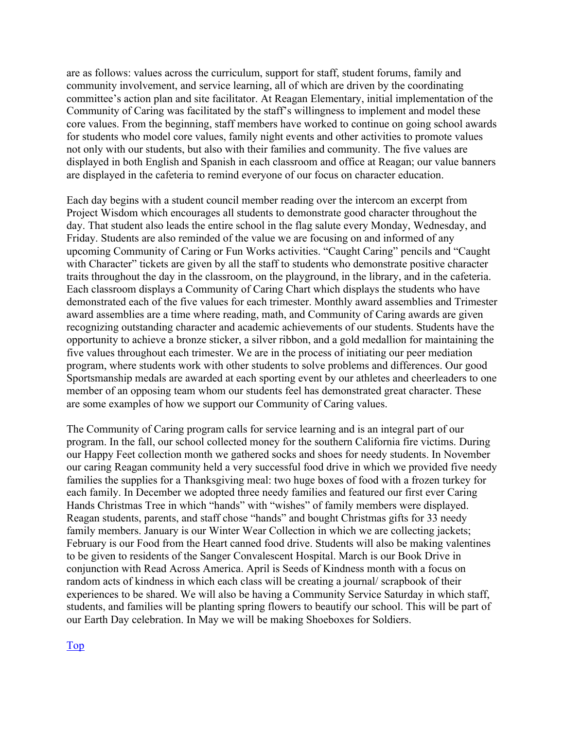are as follows: values across the curriculum, support for staff, student forums, family and community involvement, and service learning, all of which are driven by the coordinating committee's action plan and site facilitator. At Reagan Elementary, initial implementation of the Community of Caring was facilitated by the staff's willingness to implement and model these core values. From the beginning, staff members have worked to continue on going school awards for students who model core values, family night events and other activities to promote values not only with our students, but also with their families and community. The five values are displayed in both English and Spanish in each classroom and office at Reagan; our value banners are displayed in the cafeteria to remind everyone of our focus on character education.

Each day begins with a student council member reading over the intercom an excerpt from Project Wisdom which encourages all students to demonstrate good character throughout the day. That student also leads the entire school in the flag salute every Monday, Wednesday, and Friday. Students are also reminded of the value we are focusing on and informed of any upcoming Community of Caring or Fun Works activities. "Caught Caring" pencils and "Caught with Character" tickets are given by all the staff to students who demonstrate positive character traits throughout the day in the classroom, on the playground, in the library, and in the cafeteria. Each classroom displays a Community of Caring Chart which displays the students who have demonstrated each of the five values for each trimester. Monthly award assemblies and Trimester award assemblies are a time where reading, math, and Community of Caring awards are given recognizing outstanding character and academic achievements of our students. Students have the opportunity to achieve a bronze sticker, a silver ribbon, and a gold medallion for maintaining the five values throughout each trimester. We are in the process of initiating our peer mediation program, where students work with other students to solve problems and differences. Our good Sportsmanship medals are awarded at each sporting event by our athletes and cheerleaders to one member of an opposing team whom our students feel has demonstrated great character. These are some examples of how we support our Community of Caring values.

The Community of Caring program calls for service learning and is an integral part of our program. In the fall, our school collected money for the southern California fire victims. During our Happy Feet collection month we gathered socks and shoes for needy students. In November our caring Reagan community held a very successful food drive in which we provided five needy families the supplies for a Thanksgiving meal: two huge boxes of food with a frozen turkey for each family. In December we adopted three needy families and featured our first ever Caring Hands Christmas Tree in which "hands" with "wishes" of family members were displayed. Reagan students, parents, and staff chose "hands" and bought Christmas gifts for 33 needy family members. January is our Winter Wear Collection in which we are collecting jackets; February is our Food from the Heart canned food drive. Students will also be making valentines to be given to residents of the Sanger Convalescent Hospital. March is our Book Drive in conjunction with Read Across America. April is Seeds of Kindness month with a focus on random acts of kindness in which each class will be creating a journal/ scrapbook of their experiences to be shared. We will also be having a Community Service Saturday in which staff, students, and families will be planting spring flowers to beautify our school. This will be part of our Earth Day celebration. In May we will be making Shoeboxes for Soldiers.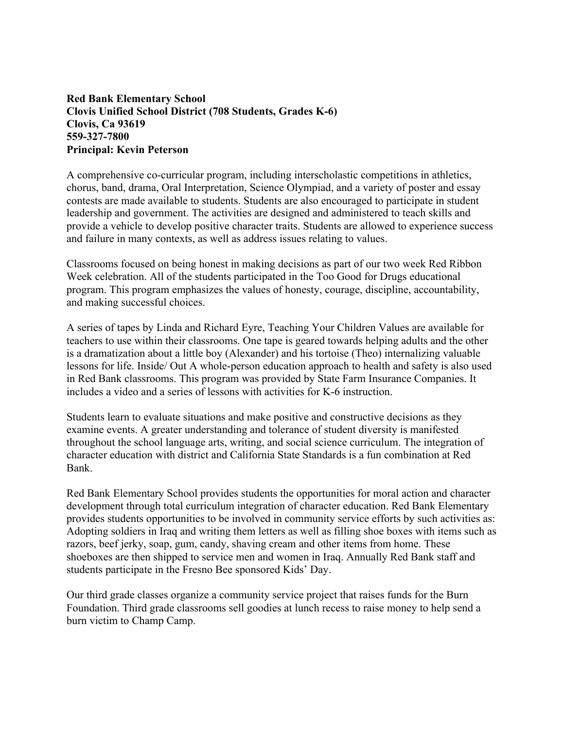#### **Red Bank Elementary School Clovis Unified School District (708 Students, Grades K-6) Clovis, Ca 93619 559-327-7800 Principal: Kevin Peterson**

A comprehensive co-curricular program, including interscholastic competitions in athletics, chorus, band, drama, Oral Interpretation, Science Olympiad, and a variety of poster and essay contests are made available to students. Students are also encouraged to participate in student leadership and government. The activities are designed and administered to teach skills and provide a vehicle to develop positive character traits. Students are allowed to experience success and failure in many contexts, as well as address issues relating to values.

Classrooms focused on being honest in making decisions as part of our two week Red Ribbon Week celebration. All of the students participated in the Too Good for Drugs educational program. This program emphasizes the values of honesty, courage, discipline, accountability, and making successful choices.

A series of tapes by Linda and Richard Eyre, Teaching Your Children Values are available for teachers to use within their classrooms. One tape is geared towards helping adults and the other is a dramatization about a little boy (Alexander) and his tortoise (Theo) internalizing valuable lessons for life. Inside/ Out A whole-person education approach to health and safety is also used in Red Bank classrooms. This program was provided by State Farm Insurance Companies. It includes a video and a series of lessons with activities for K-6 instruction.

Students learn to evaluate situations and make positive and constructive decisions as they examine events. A greater understanding and tolerance of student diversity is manifested throughout the school language arts, writing, and social science curriculum. The integration of character education with district and California State Standards is a fun combination at Red Bank.

Red Bank Elementary School provides students the opportunities for moral action and character development through total curriculum integration of character education. Red Bank Elementary provides students opportunities to be involved in community service efforts by such activities as: Adopting soldiers in Iraq and writing them letters as well as filling shoe boxes with items such as razors, beef jerky, soap, gum, candy, shaving cream and other items from home. These shoeboxes are then shipped to service men and women in Iraq. Annually Red Bank staff and students participate in the Fresno Bee sponsored Kids' Day.

Our third grade classes organize a community service project that raises funds for the Burn Foundation. Third grade classrooms sell goodies at lunch recess to raise money to help send a burn victim to Champ Camp.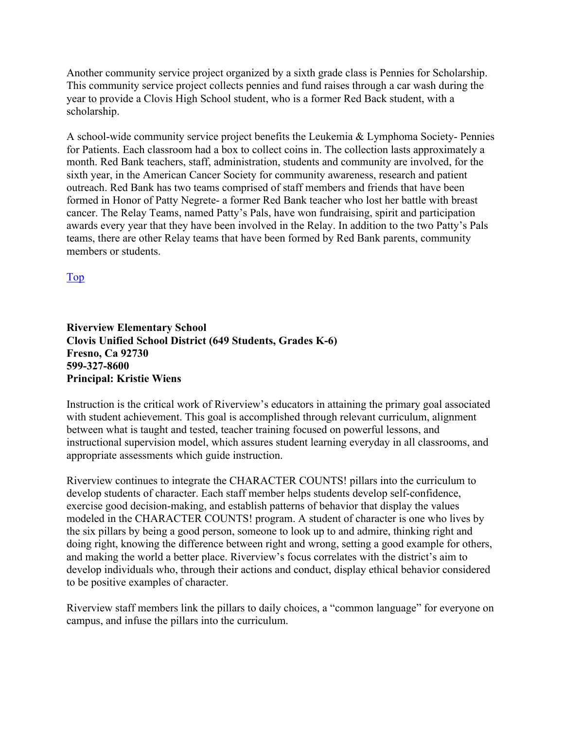Another community service project organized by a sixth grade class is Pennies for Scholarship. This community service project collects pennies and fund raises through a car wash during the year to provide a Clovis High School student, who is a former Red Back student, with a scholarship.

A school-wide community service project benefits the Leukemia & Lymphoma Society- Pennies for Patients. Each classroom had a box to collect coins in. The collection lasts approximately a month. Red Bank teachers, staff, administration, students and community are involved, for the sixth year, in the American Cancer Society for community awareness, research and patient outreach. Red Bank has two teams comprised of staff members and friends that have been formed in Honor of Patty Negrete- a former Red Bank teacher who lost her battle with breast cancer. The Relay Teams, named Patty's Pals, have won fundraising, spirit and participation awards every year that they have been involved in the Relay. In addition to the two Patty's Pals teams, there are other Relay teams that have been formed by Red Bank parents, community members or students.

Top

#### **Riverview Elementary School Clovis Unified School District (649 Students, Grades K-6) Fresno, Ca 92730 599-327-8600 Principal: Kristie Wiens**

Instruction is the critical work of Riverview's educators in attaining the primary goal associated with student achievement. This goal is accomplished through relevant curriculum, alignment between what is taught and tested, teacher training focused on powerful lessons, and instructional supervision model, which assures student learning everyday in all classrooms, and appropriate assessments which guide instruction.

Riverview continues to integrate the CHARACTER COUNTS! pillars into the curriculum to develop students of character. Each staff member helps students develop self-confidence, exercise good decision-making, and establish patterns of behavior that display the values modeled in the CHARACTER COUNTS! program. A student of character is one who lives by the six pillars by being a good person, someone to look up to and admire, thinking right and doing right, knowing the difference between right and wrong, setting a good example for others, and making the world a better place. Riverview's focus correlates with the district's aim to develop individuals who, through their actions and conduct, display ethical behavior considered to be positive examples of character.

Riverview staff members link the pillars to daily choices, a "common language" for everyone on campus, and infuse the pillars into the curriculum.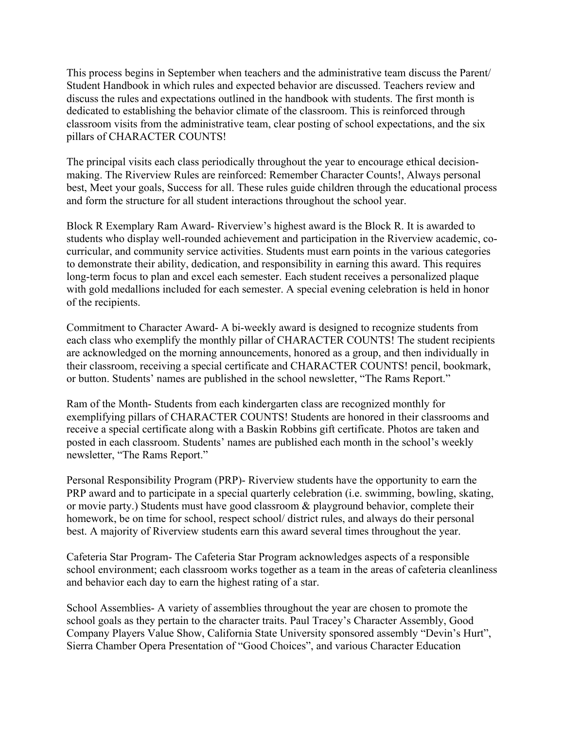This process begins in September when teachers and the administrative team discuss the Parent/ Student Handbook in which rules and expected behavior are discussed. Teachers review and discuss the rules and expectations outlined in the handbook with students. The first month is dedicated to establishing the behavior climate of the classroom. This is reinforced through classroom visits from the administrative team, clear posting of school expectations, and the six pillars of CHARACTER COUNTS!

The principal visits each class periodically throughout the year to encourage ethical decisionmaking. The Riverview Rules are reinforced: Remember Character Counts!, Always personal best, Meet your goals, Success for all. These rules guide children through the educational process and form the structure for all student interactions throughout the school year.

Block R Exemplary Ram Award- Riverview's highest award is the Block R. It is awarded to students who display well-rounded achievement and participation in the Riverview academic, cocurricular, and community service activities. Students must earn points in the various categories to demonstrate their ability, dedication, and responsibility in earning this award. This requires long-term focus to plan and excel each semester. Each student receives a personalized plaque with gold medallions included for each semester. A special evening celebration is held in honor of the recipients.

Commitment to Character Award- A bi-weekly award is designed to recognize students from each class who exemplify the monthly pillar of CHARACTER COUNTS! The student recipients are acknowledged on the morning announcements, honored as a group, and then individually in their classroom, receiving a special certificate and CHARACTER COUNTS! pencil, bookmark, or button. Students' names are published in the school newsletter, "The Rams Report."

Ram of the Month- Students from each kindergarten class are recognized monthly for exemplifying pillars of CHARACTER COUNTS! Students are honored in their classrooms and receive a special certificate along with a Baskin Robbins gift certificate. Photos are taken and posted in each classroom. Students' names are published each month in the school's weekly newsletter, "The Rams Report."

Personal Responsibility Program (PRP)- Riverview students have the opportunity to earn the PRP award and to participate in a special quarterly celebration (i.e. swimming, bowling, skating, or movie party.) Students must have good classroom & playground behavior, complete their homework, be on time for school, respect school/ district rules, and always do their personal best. A majority of Riverview students earn this award several times throughout the year.

Cafeteria Star Program- The Cafeteria Star Program acknowledges aspects of a responsible school environment; each classroom works together as a team in the areas of cafeteria cleanliness and behavior each day to earn the highest rating of a star.

School Assemblies- A variety of assemblies throughout the year are chosen to promote the school goals as they pertain to the character traits. Paul Tracey's Character Assembly, Good Company Players Value Show, California State University sponsored assembly "Devin's Hurt", Sierra Chamber Opera Presentation of "Good Choices", and various Character Education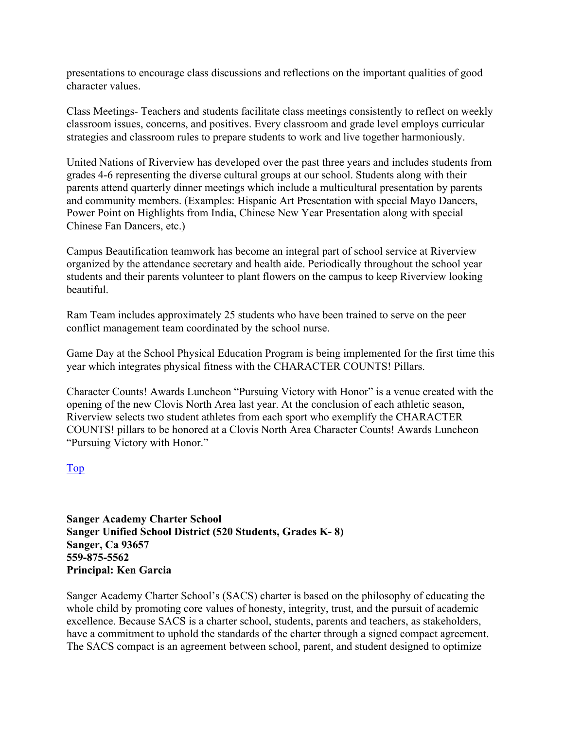presentations to encourage class discussions and reflections on the important qualities of good character values.

Class Meetings- Teachers and students facilitate class meetings consistently to reflect on weekly classroom issues, concerns, and positives. Every classroom and grade level employs curricular strategies and classroom rules to prepare students to work and live together harmoniously.

United Nations of Riverview has developed over the past three years and includes students from grades 4-6 representing the diverse cultural groups at our school. Students along with their parents attend quarterly dinner meetings which include a multicultural presentation by parents and community members. (Examples: Hispanic Art Presentation with special Mayo Dancers, Power Point on Highlights from India, Chinese New Year Presentation along with special Chinese Fan Dancers, etc.)

Campus Beautification teamwork has become an integral part of school service at Riverview organized by the attendance secretary and health aide. Periodically throughout the school year students and their parents volunteer to plant flowers on the campus to keep Riverview looking beautiful.

Ram Team includes approximately 25 students who have been trained to serve on the peer conflict management team coordinated by the school nurse.

Game Day at the School Physical Education Program is being implemented for the first time this year which integrates physical fitness with the CHARACTER COUNTS! Pillars.

Character Counts! Awards Luncheon "Pursuing Victory with Honor" is a venue created with the opening of the new Clovis North Area last year. At the conclusion of each athletic season, Riverview selects two student athletes from each sport who exemplify the CHARACTER COUNTS! pillars to be honored at a Clovis North Area Character Counts! Awards Luncheon "Pursuing Victory with Honor."

#### Top

**Sanger Academy Charter School Sanger Unified School District (520 Students, Grades K- 8) Sanger, Ca 93657 559-875-5562 Principal: Ken Garcia** 

Sanger Academy Charter School's (SACS) charter is based on the philosophy of educating the whole child by promoting core values of honesty, integrity, trust, and the pursuit of academic excellence. Because SACS is a charter school, students, parents and teachers, as stakeholders, have a commitment to uphold the standards of the charter through a signed compact agreement. The SACS compact is an agreement between school, parent, and student designed to optimize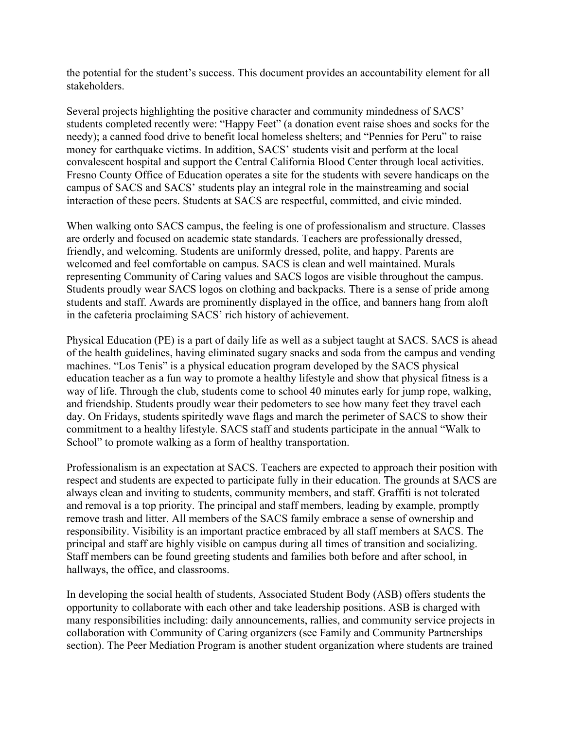the potential for the student's success. This document provides an accountability element for all stakeholders.

Several projects highlighting the positive character and community mindedness of SACS' students completed recently were: "Happy Feet" (a donation event raise shoes and socks for the needy); a canned food drive to benefit local homeless shelters; and "Pennies for Peru" to raise money for earthquake victims. In addition, SACS' students visit and perform at the local convalescent hospital and support the Central California Blood Center through local activities. Fresno County Office of Education operates a site for the students with severe handicaps on the campus of SACS and SACS' students play an integral role in the mainstreaming and social interaction of these peers. Students at SACS are respectful, committed, and civic minded.

When walking onto SACS campus, the feeling is one of professionalism and structure. Classes are orderly and focused on academic state standards. Teachers are professionally dressed, friendly, and welcoming. Students are uniformly dressed, polite, and happy. Parents are welcomed and feel comfortable on campus. SACS is clean and well maintained. Murals representing Community of Caring values and SACS logos are visible throughout the campus. Students proudly wear SACS logos on clothing and backpacks. There is a sense of pride among students and staff. Awards are prominently displayed in the office, and banners hang from aloft in the cafeteria proclaiming SACS' rich history of achievement.

Physical Education (PE) is a part of daily life as well as a subject taught at SACS. SACS is ahead of the health guidelines, having eliminated sugary snacks and soda from the campus and vending machines. "Los Tenis" is a physical education program developed by the SACS physical education teacher as a fun way to promote a healthy lifestyle and show that physical fitness is a way of life. Through the club, students come to school 40 minutes early for jump rope, walking, and friendship. Students proudly wear their pedometers to see how many feet they travel each day. On Fridays, students spiritedly wave flags and march the perimeter of SACS to show their commitment to a healthy lifestyle. SACS staff and students participate in the annual "Walk to School" to promote walking as a form of healthy transportation.

Professionalism is an expectation at SACS. Teachers are expected to approach their position with respect and students are expected to participate fully in their education. The grounds at SACS are always clean and inviting to students, community members, and staff. Graffiti is not tolerated and removal is a top priority. The principal and staff members, leading by example, promptly remove trash and litter. All members of the SACS family embrace a sense of ownership and responsibility. Visibility is an important practice embraced by all staff members at SACS. The principal and staff are highly visible on campus during all times of transition and socializing. Staff members can be found greeting students and families both before and after school, in hallways, the office, and classrooms.

In developing the social health of students, Associated Student Body (ASB) offers students the opportunity to collaborate with each other and take leadership positions. ASB is charged with many responsibilities including: daily announcements, rallies, and community service projects in collaboration with Community of Caring organizers (see Family and Community Partnerships section). The Peer Mediation Program is another student organization where students are trained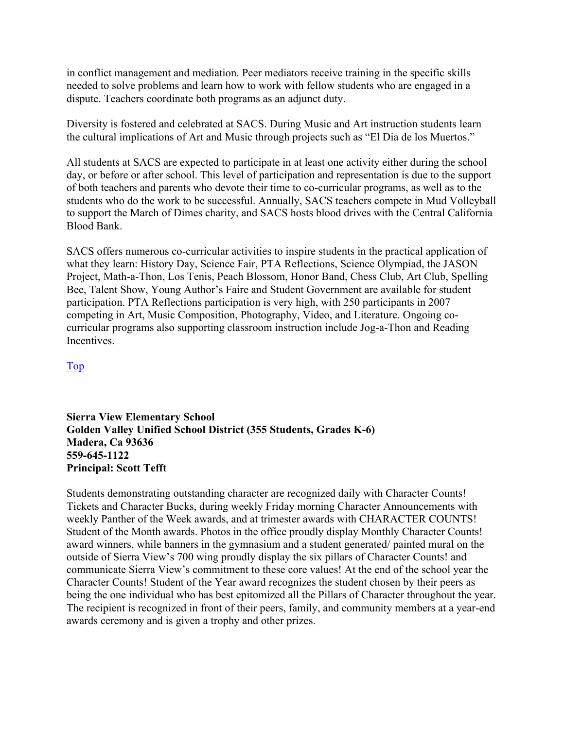in conflict management and mediation. Peer mediators receive training in the specific skills needed to solve problems and learn how to work with fellow students who are engaged in a dispute. Teachers coordinate both programs as an adjunct duty.

Diversity is fostered and celebrated at SACS. During Music and Art instruction students learn the cultural implications of Art and Music through projects such as "El Dia de los Muertos."

All students at SACS are expected to participate in at least one activity either during the school day, or before or after school. This level of participation and representation is due to the support of both teachers and parents who devote their time to co-curricular programs, as well as to the students who do the work to be successful. Annually, SACS teachers compete in Mud Volleyball to support the March of Dimes charity, and SACS hosts blood drives with the Central California Blood Bank.

SACS offers numerous co-curricular activities to inspire students in the practical application of what they learn: History Day, Science Fair, PTA Reflections, Science Olympiad, the JASON Project, Math-a-Thon, Los Tenis, Peach Blossom, Honor Band, Chess Club, Art Club, Spelling Bee, Talent Show, Young Author's Faire and Student Government are available for student participation. PTA Reflections participation is very high, with 250 participants in 2007 competing in Art, Music Composition, Photography, Video, and Literature. Ongoing cocurricular programs also supporting classroom instruction include Jog-a-Thon and Reading Incentives.

Top

#### **Sierra View Elementary School Golden Valley Unified School District (355 Students, Grades K-6) Madera, Ca 93636 559-645-1122 Principal: Scott Tefft**

Students demonstrating outstanding character are recognized daily with Character Counts! Tickets and Character Bucks, during weekly Friday morning Character Announcements with weekly Panther of the Week awards, and at trimester awards with CHARACTER COUNTS! Student of the Month awards. Photos in the office proudly display Monthly Character Counts! award winners, while banners in the gymnasium and a student generated/ painted mural on the outside of Sierra View's 700 wing proudly display the six pillars of Character Counts! and communicate Sierra View's commitment to these core values! At the end of the school year the Character Counts! Student of the Year award recognizes the student chosen by their peers as being the one individual who has best epitomized all the Pillars of Character throughout the year. The recipient is recognized in front of their peers, family, and community members at a year-end awards ceremony and is given a trophy and other prizes.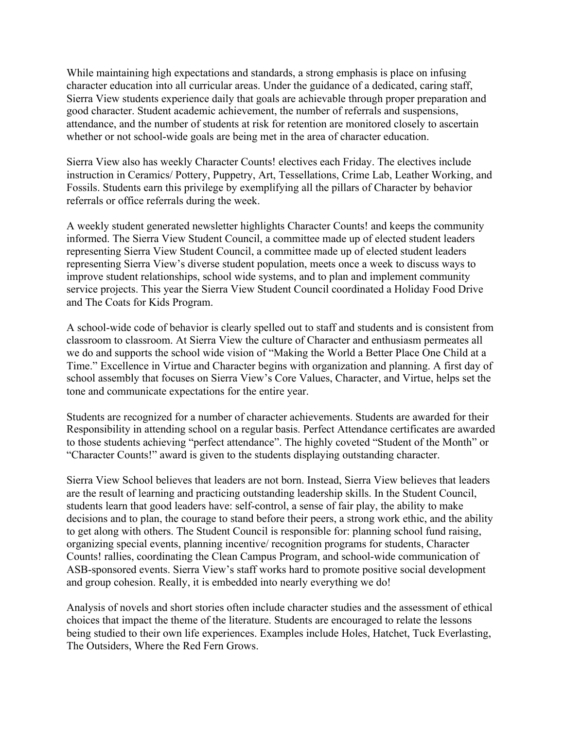While maintaining high expectations and standards, a strong emphasis is place on infusing character education into all curricular areas. Under the guidance of a dedicated, caring staff, Sierra View students experience daily that goals are achievable through proper preparation and good character. Student academic achievement, the number of referrals and suspensions, attendance, and the number of students at risk for retention are monitored closely to ascertain whether or not school-wide goals are being met in the area of character education.

Sierra View also has weekly Character Counts! electives each Friday. The electives include instruction in Ceramics/ Pottery, Puppetry, Art, Tessellations, Crime Lab, Leather Working, and Fossils. Students earn this privilege by exemplifying all the pillars of Character by behavior referrals or office referrals during the week.

A weekly student generated newsletter highlights Character Counts! and keeps the community informed. The Sierra View Student Council, a committee made up of elected student leaders representing Sierra View Student Council, a committee made up of elected student leaders representing Sierra View's diverse student population, meets once a week to discuss ways to improve student relationships, school wide systems, and to plan and implement community service projects. This year the Sierra View Student Council coordinated a Holiday Food Drive and The Coats for Kids Program.

A school-wide code of behavior is clearly spelled out to staff and students and is consistent from classroom to classroom. At Sierra View the culture of Character and enthusiasm permeates all we do and supports the school wide vision of "Making the World a Better Place One Child at a Time." Excellence in Virtue and Character begins with organization and planning. A first day of school assembly that focuses on Sierra View's Core Values, Character, and Virtue, helps set the tone and communicate expectations for the entire year.

Students are recognized for a number of character achievements. Students are awarded for their Responsibility in attending school on a regular basis. Perfect Attendance certificates are awarded to those students achieving "perfect attendance". The highly coveted "Student of the Month" or "Character Counts!" award is given to the students displaying outstanding character.

Sierra View School believes that leaders are not born. Instead, Sierra View believes that leaders are the result of learning and practicing outstanding leadership skills. In the Student Council, students learn that good leaders have: self-control, a sense of fair play, the ability to make decisions and to plan, the courage to stand before their peers, a strong work ethic, and the ability to get along with others. The Student Council is responsible for: planning school fund raising, organizing special events, planning incentive/ recognition programs for students, Character Counts! rallies, coordinating the Clean Campus Program, and school-wide communication of ASB-sponsored events. Sierra View's staff works hard to promote positive social development and group cohesion. Really, it is embedded into nearly everything we do!

Analysis of novels and short stories often include character studies and the assessment of ethical choices that impact the theme of the literature. Students are encouraged to relate the lessons being studied to their own life experiences. Examples include Holes, Hatchet, Tuck Everlasting, The Outsiders, Where the Red Fern Grows.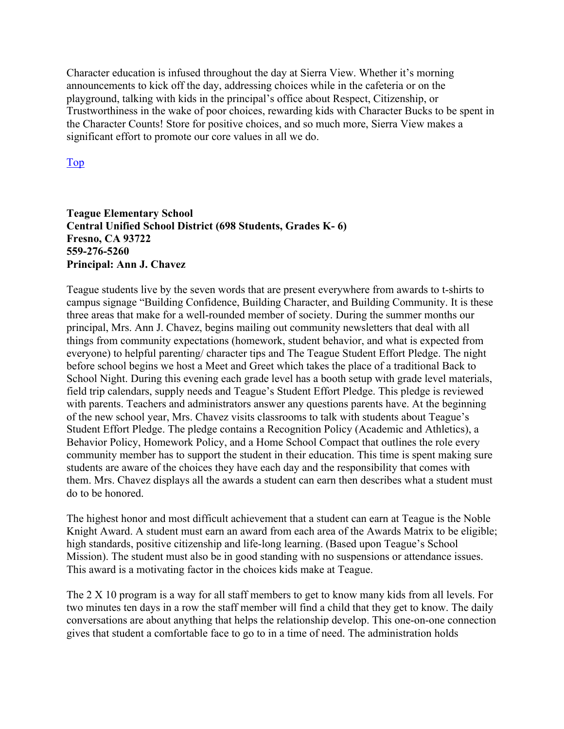Character education is infused throughout the day at Sierra View. Whether it's morning announcements to kick off the day, addressing choices while in the cafeteria or on the playground, talking with kids in the principal's office about Respect, Citizenship, or Trustworthiness in the wake of poor choices, rewarding kids with Character Bucks to be spent in the Character Counts! Store for positive choices, and so much more, Sierra View makes a significant effort to promote our core values in all we do.

Top

#### **Teague Elementary School Central Unified School District (698 Students, Grades K- 6) Fresno, CA 93722 559-276-5260 Principal: Ann J. Chavez**

Teague students live by the seven words that are present everywhere from awards to t-shirts to campus signage "Building Confidence, Building Character, and Building Community. It is these three areas that make for a well-rounded member of society. During the summer months our principal, Mrs. Ann J. Chavez, begins mailing out community newsletters that deal with all things from community expectations (homework, student behavior, and what is expected from everyone) to helpful parenting/ character tips and The Teague Student Effort Pledge. The night before school begins we host a Meet and Greet which takes the place of a traditional Back to School Night. During this evening each grade level has a booth setup with grade level materials, field trip calendars, supply needs and Teague's Student Effort Pledge. This pledge is reviewed with parents. Teachers and administrators answer any questions parents have. At the beginning of the new school year, Mrs. Chavez visits classrooms to talk with students about Teague's Student Effort Pledge. The pledge contains a Recognition Policy (Academic and Athletics), a Behavior Policy, Homework Policy, and a Home School Compact that outlines the role every community member has to support the student in their education. This time is spent making sure students are aware of the choices they have each day and the responsibility that comes with them. Mrs. Chavez displays all the awards a student can earn then describes what a student must do to be honored.

The highest honor and most difficult achievement that a student can earn at Teague is the Noble Knight Award. A student must earn an award from each area of the Awards Matrix to be eligible; high standards, positive citizenship and life-long learning. (Based upon Teague's School Mission). The student must also be in good standing with no suspensions or attendance issues. This award is a motivating factor in the choices kids make at Teague.

The 2 X 10 program is a way for all staff members to get to know many kids from all levels. For two minutes ten days in a row the staff member will find a child that they get to know. The daily conversations are about anything that helps the relationship develop. This one-on-one connection gives that student a comfortable face to go to in a time of need. The administration holds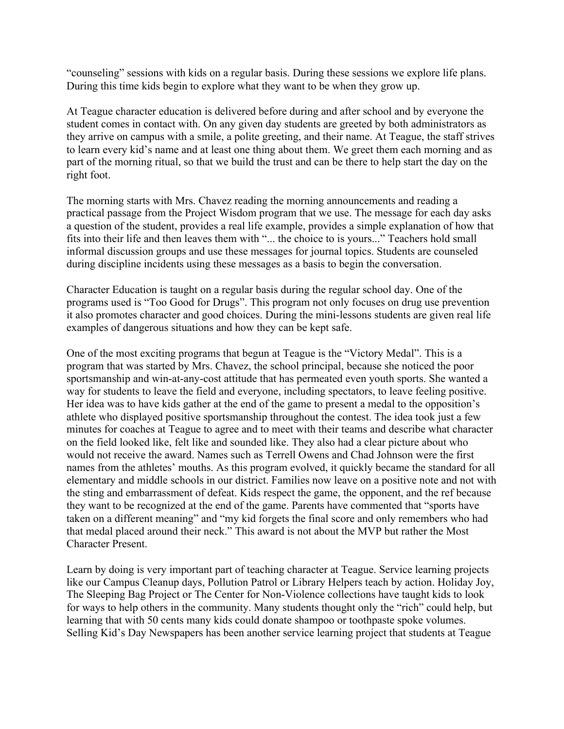"counseling" sessions with kids on a regular basis. During these sessions we explore life plans. During this time kids begin to explore what they want to be when they grow up.

At Teague character education is delivered before during and after school and by everyone the student comes in contact with. On any given day students are greeted by both administrators as they arrive on campus with a smile, a polite greeting, and their name. At Teague, the staff strives to learn every kid's name and at least one thing about them. We greet them each morning and as part of the morning ritual, so that we build the trust and can be there to help start the day on the right foot.

The morning starts with Mrs. Chavez reading the morning announcements and reading a practical passage from the Project Wisdom program that we use. The message for each day asks a question of the student, provides a real life example, provides a simple explanation of how that fits into their life and then leaves them with "... the choice to is yours..." Teachers hold small informal discussion groups and use these messages for journal topics. Students are counseled during discipline incidents using these messages as a basis to begin the conversation.

Character Education is taught on a regular basis during the regular school day. One of the programs used is "Too Good for Drugs". This program not only focuses on drug use prevention it also promotes character and good choices. During the mini-lessons students are given real life examples of dangerous situations and how they can be kept safe.

One of the most exciting programs that begun at Teague is the "Victory Medal". This is a program that was started by Mrs. Chavez, the school principal, because she noticed the poor sportsmanship and win-at-any-cost attitude that has permeated even youth sports. She wanted a way for students to leave the field and everyone, including spectators, to leave feeling positive. Her idea was to have kids gather at the end of the game to present a medal to the opposition's athlete who displayed positive sportsmanship throughout the contest. The idea took just a few minutes for coaches at Teague to agree and to meet with their teams and describe what character on the field looked like, felt like and sounded like. They also had a clear picture about who would not receive the award. Names such as Terrell Owens and Chad Johnson were the first names from the athletes' mouths. As this program evolved, it quickly became the standard for all elementary and middle schools in our district. Families now leave on a positive note and not with the sting and embarrassment of defeat. Kids respect the game, the opponent, and the ref because they want to be recognized at the end of the game. Parents have commented that "sports have taken on a different meaning" and "my kid forgets the final score and only remembers who had that medal placed around their neck." This award is not about the MVP but rather the Most Character Present.

Learn by doing is very important part of teaching character at Teague. Service learning projects like our Campus Cleanup days, Pollution Patrol or Library Helpers teach by action. Holiday Joy, The Sleeping Bag Project or The Center for Non-Violence collections have taught kids to look for ways to help others in the community. Many students thought only the "rich" could help, but learning that with 50 cents many kids could donate shampoo or toothpaste spoke volumes. Selling Kid's Day Newspapers has been another service learning project that students at Teague